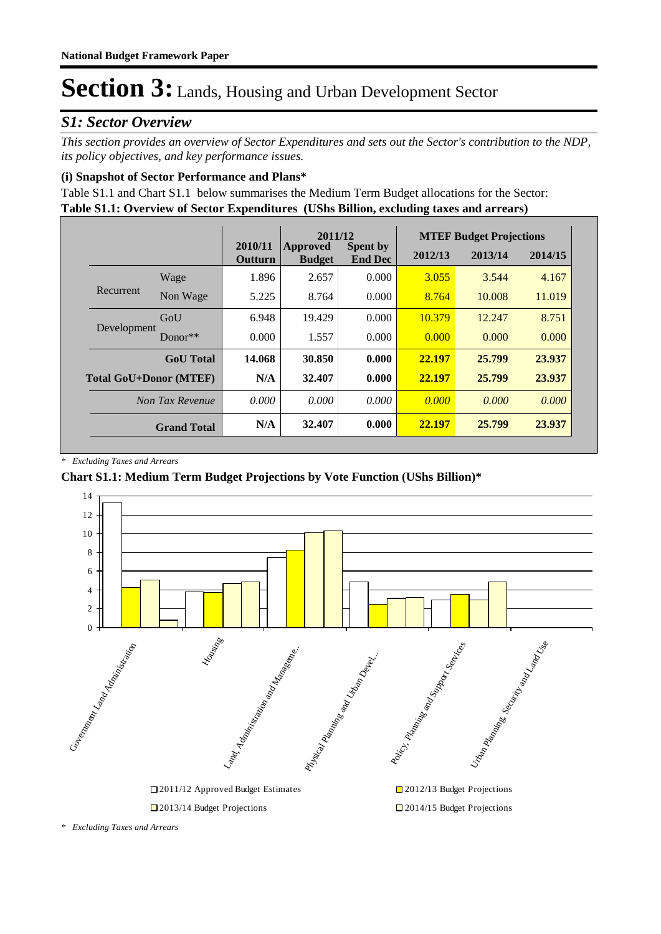### *S1: Sector Overview*

*This section provides an overview of Sector Expenditures and sets out the Sector's contribution to the NDP, its policy objectives, and key performance issues.* 

### **(i) Snapshot of Sector Performance and Plans\***

**Table S1.1: Overview of Sector Expenditures (UShs Billion, excluding taxes and arrears)** Table S1.1 and Chart S1.1 below summarises the Medium Term Budget allocations for the Sector:

|                               |                    |                    | 2011/12                          |                                   | <b>MTEF Budget Projections</b> |         |         |
|-------------------------------|--------------------|--------------------|----------------------------------|-----------------------------------|--------------------------------|---------|---------|
|                               |                    | 2010/11<br>Outturn | <b>Approved</b><br><b>Budget</b> | <b>Spent by</b><br><b>End Dec</b> | 2012/13                        | 2013/14 | 2014/15 |
|                               | Wage               | 1.896              | 2.657                            | 0.000                             | 3.055                          | 3.544   | 4.167   |
| Recurrent                     | Non Wage           | 5.225              | 8.764                            | 0.000                             | 8.764                          | 10.008  | 11.019  |
|                               | GoU                | 6.948              | 19.429                           | 0.000                             | 10.379                         | 12.247  | 8.751   |
| Development                   | $Donor**$          | 0.000              | 1.557                            | 0.000                             | 0.000                          | 0.000   | 0.000   |
|                               | <b>GoU</b> Total   | 14.068             | 30.850                           | 0.000                             | 22.197                         | 25.799  | 23.937  |
| <b>Total GoU+Donor (MTEF)</b> |                    | N/A                | 32.407                           | 0.000                             | 22.197                         | 25.799  | 23.937  |
|                               | Non Tax Revenue    | 0.000              | 0.000                            | 0.000                             | 0.000                          | 0.000   | 0.000   |
|                               | <b>Grand Total</b> | N/A                | 32.407                           | 0.000                             | 22.197                         | 25.799  | 23.937  |

*\* Excluding Taxes and Arrears*

### **Chart S1.1: Medium Term Budget Projections by Vote Function (UShs Billion)\***



*<sup>\*</sup> Excluding Taxes and Arrears*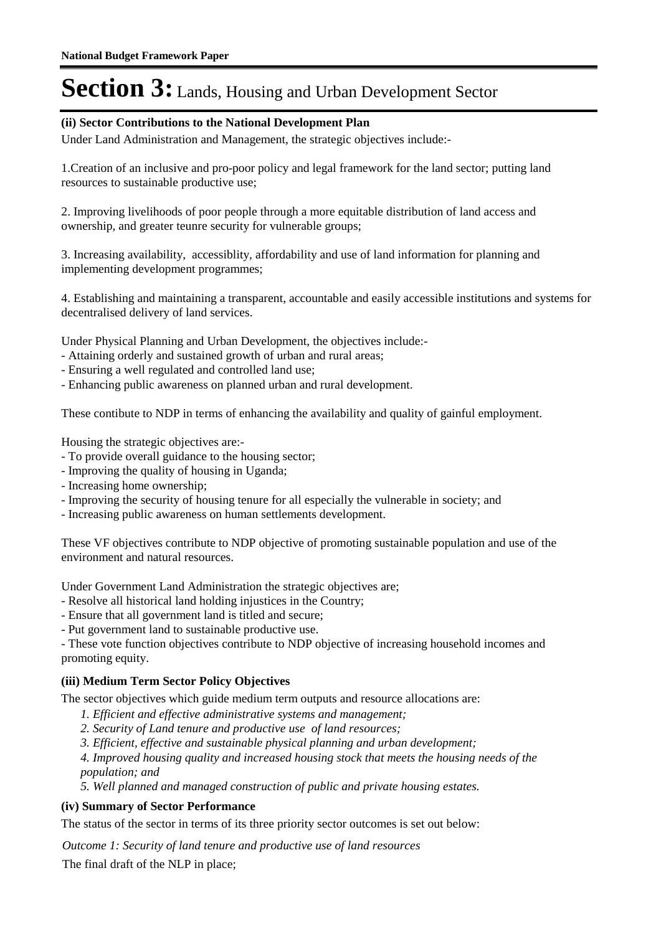### **(ii) Sector Contributions to the National Development Plan**

Under Land Administration and Management, the strategic objectives include:-

1.Creation of an inclusive and pro-poor policy and legal framework for the land sector; putting land resources to sustainable productive use;

2. Improving livelihoods of poor people through a more equitable distribution of land access and ownership, and greater teunre security for vulnerable groups;

3. Increasing availability, accessiblity, affordability and use of land information for planning and implementing development programmes;

4. Establishing and maintaining a transparent, accountable and easily accessible institutions and systems for decentralised delivery of land services.

Under Physical Planning and Urban Development, the objectives include:-

- Attaining orderly and sustained growth of urban and rural areas;
- Ensuring a well regulated and controlled land use;
- Enhancing public awareness on planned urban and rural development.

These contibute to NDP in terms of enhancing the availability and quality of gainful employment.

Housing the strategic objectives are:-

- To provide overall guidance to the housing sector;
- Improving the quality of housing in Uganda;
- Increasing home ownership;
- Improving the security of housing tenure for all especially the vulnerable in society; and
- Increasing public awareness on human settlements development.

These VF objectives contribute to NDP objective of promoting sustainable population and use of the environment and natural resources.

Under Government Land Administration the strategic objectives are;

- Resolve all historical land holding injustices in the Country;
- Ensure that all government land is titled and secure;
- Put government land to sustainable productive use.

- These vote function objectives contribute to NDP objective of increasing household incomes and promoting equity.

### **(iii) Medium Term Sector Policy Objectives**

The sector objectives which guide medium term outputs and resource allocations are:

- *1. Efficient and effective administrative systems and management;*
- *2. Security of Land tenure and productive use of land resources;*
- *3. Efficient, effective and sustainable physical planning and urban development;*

*4. Improved housing quality and increased housing stock that meets the housing needs of the population; and*

*5. Well planned and managed construction of public and private housing estates.*

### **(iv) Summary of Sector Performance**

The status of the sector in terms of its three priority sector outcomes is set out below:

Outcome 1: Security of land tenure and productive use of land resources

The final draft of the NLP in place;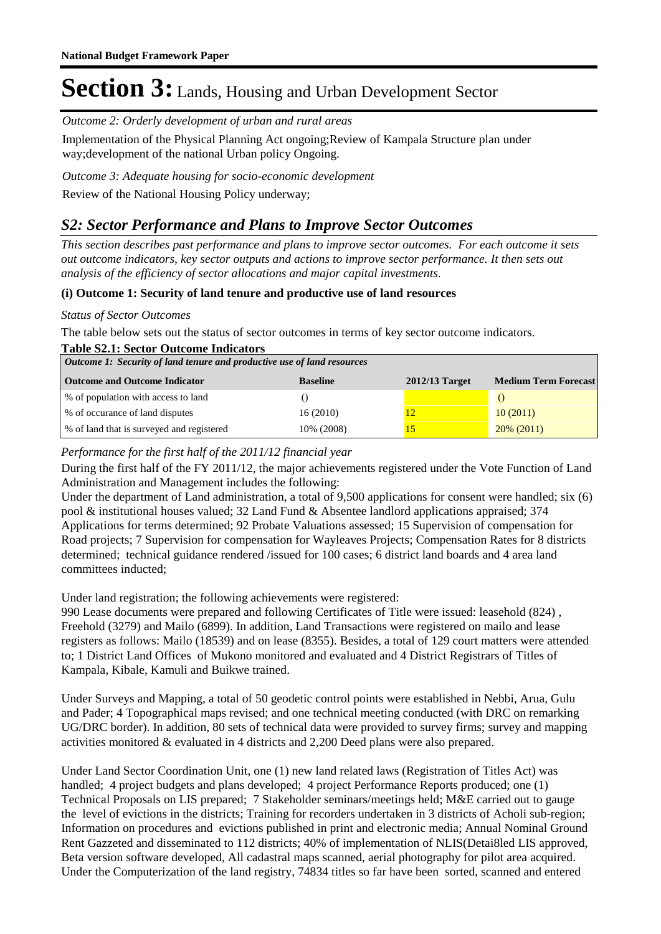Outcome 2: Orderly development of urban and rural areas

Implementation of the Physical Planning Act ongoing;Review of Kampala Structure plan under way;development of the national Urban policy Ongoing.

Outcome 3: Adequate housing for socio-economic development Review of the National Housing Policy underway;

### *S2: Sector Performance and Plans to Improve Sector Outcomes*

*This section describes past performance and plans to improve sector outcomes. For each outcome it sets out outcome indicators, key sector outputs and actions to improve sector performance. It then sets out analysis of the efficiency of sector allocations and major capital investments.*

### **(i) Outcome 1: Security of land tenure and productive use of land resources**

### *Status of Sector Outcomes*

The table below sets out the status of sector outcomes in terms of key sector outcome indicators.

| <b>Table S2.1: Sector Outcome Indicators</b>                            |                 |                  |                             |  |
|-------------------------------------------------------------------------|-----------------|------------------|-----------------------------|--|
| Outcome 1: Security of land tenure and productive use of land resources |                 |                  |                             |  |
| <b>Outcome and Outcome Indicator</b>                                    | <b>Baseline</b> | $2012/13$ Target | <b>Medium Term Forecast</b> |  |
| % of population with access to land                                     |                 |                  |                             |  |
| % of occurance of land disputes                                         | 16(2010)        | 12               | 10(2011)                    |  |
| % of land that is surveyed and registered                               | 10% (2008)      | 15               | $20\%$ (2011)               |  |

### *Performance for the first half of the 2011/12 financial year*

During the first half of the FY 2011/12, the major achievements registered under the Vote Function of Land Administration and Management includes the following:

Under the department of Land administration, a total of 9,500 applications for consent were handled; six (6) pool & institutional houses valued; 32 Land Fund & Absentee landlord applications appraised; 374 Applications for terms determined; 92 Probate Valuations assessed; 15 Supervision of compensation for Road projects; 7 Supervision for compensation for Wayleaves Projects; Compensation Rates for 8 districts determined; technical guidance rendered /issued for 100 cases; 6 district land boards and 4 area land committees inducted;

Under land registration; the following achievements were registered:

990 Lease documents were prepared and following Certificates of Title were issued: leasehold (824) , Freehold (3279) and Mailo (6899). In addition, Land Transactions were registered on mailo and lease registers as follows: Mailo (18539) and on lease (8355). Besides, a total of 129 court matters were attended to; 1 District Land Offices of Mukono monitored and evaluated and 4 District Registrars of Titles of Kampala, Kibale, Kamuli and Buikwe trained.

Under Surveys and Mapping, a total of 50 geodetic control points were established in Nebbi, Arua, Gulu and Pader; 4 Topographical maps revised; and one technical meeting conducted (with DRC on remarking UG/DRC border). In addition, 80 sets of technical data were provided to survey firms; survey and mapping activities monitored & evaluated in 4 districts and 2,200 Deed plans were also prepared.

Under Land Sector Coordination Unit, one (1) new land related laws (Registration of Titles Act) was handled; 4 project budgets and plans developed; 4 project Performance Reports produced; one (1) Technical Proposals on LIS prepared; 7 Stakeholder seminars/meetings held; M&E carried out to gauge the level of evictions in the districts; Training for recorders undertaken in 3 districts of Acholi sub-region; Information on procedures and evictions published in print and electronic media; Annual Nominal Ground Rent Gazzeted and disseminated to 112 districts; 40% of implementation of NLIS(Detai8led LIS approved, Beta version software developed, All cadastral maps scanned, aerial photography for pilot area acquired. Under the Computerization of the land registry, 74834 titles so far have been sorted, scanned and entered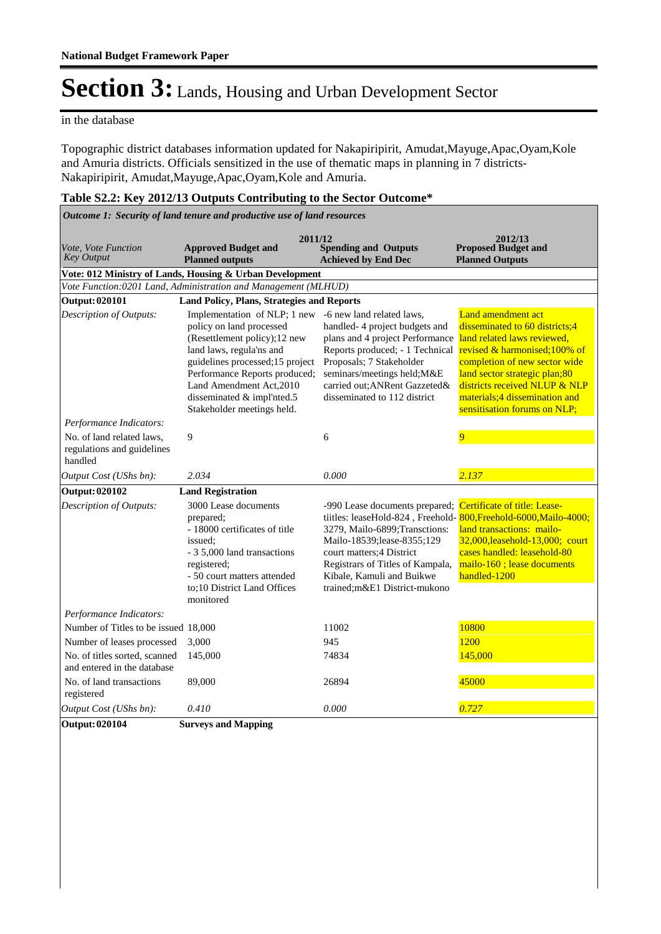#### in the database

Topographic district databases information updated for Nakapiripirit, Amudat,Mayuge,Apac,Oyam,Kole and Amuria districts. Officials sensitized in the use of thematic maps in planning in 7 districts-Nakapiripirit, Amudat,Mayuge,Apac,Oyam,Kole and Amuria.

### **Table S2.2: Key 2012/13 Outputs Contributing to the Sector Outcome\***

*Outcome 1: Security of land tenure and productive use of land resources*

| Vote, Vote Function<br><b>Key Output</b>                           | 2011/12<br><b>Approved Budget and</b><br><b>Planned outputs</b>                                                                                                                                                                                                                   | <b>Spending and Outputs</b><br><b>Achieved by End Dec</b>                                                                                                                                                                                                         | 2012/13<br><b>Proposed Budget and</b><br><b>Planned Outputs</b>                                                                                                                                                                                                                                |
|--------------------------------------------------------------------|-----------------------------------------------------------------------------------------------------------------------------------------------------------------------------------------------------------------------------------------------------------------------------------|-------------------------------------------------------------------------------------------------------------------------------------------------------------------------------------------------------------------------------------------------------------------|------------------------------------------------------------------------------------------------------------------------------------------------------------------------------------------------------------------------------------------------------------------------------------------------|
|                                                                    | Vote: 012 Ministry of Lands, Housing & Urban Development                                                                                                                                                                                                                          |                                                                                                                                                                                                                                                                   |                                                                                                                                                                                                                                                                                                |
|                                                                    | Vote Function: 0201 Land, Administration and Management (MLHUD)                                                                                                                                                                                                                   |                                                                                                                                                                                                                                                                   |                                                                                                                                                                                                                                                                                                |
| <b>Output: 020101</b>                                              | <b>Land Policy, Plans, Strategies and Reports</b>                                                                                                                                                                                                                                 |                                                                                                                                                                                                                                                                   |                                                                                                                                                                                                                                                                                                |
| Description of Outputs:                                            | Implementation of NLP; 1 new<br>policy on land processed<br>(Resettlement policy);12 new<br>land laws, regula'ns and<br>guidelines processed; 15 project<br>Performance Reports produced;<br>Land Amendment Act, 2010<br>disseminated & impl'nted.5<br>Stakeholder meetings held. | -6 new land related laws,<br>handled-4 project budgets and<br>plans and 4 project Performance<br>Reports produced; - 1 Technical<br>Proposals; 7 Stakeholder<br>seminars/meetings held; M&E<br>carried out; ANRent Gazzeted&<br>disseminated to 112 district      | <b>Land amendment act</b><br>disseminated to 60 districts;4<br>land related laws reviewed.<br>revised & harmonised;100% of<br>completion of new sector wide<br>land sector strategic plan;80<br>districts received NLUP & NLP<br>materials;4 dissemination and<br>sensitisation forums on NLP; |
| Performance Indicators:                                            |                                                                                                                                                                                                                                                                                   |                                                                                                                                                                                                                                                                   |                                                                                                                                                                                                                                                                                                |
| No. of land related laws.<br>regulations and guidelines<br>handled | 9                                                                                                                                                                                                                                                                                 | 6                                                                                                                                                                                                                                                                 | 9                                                                                                                                                                                                                                                                                              |
| Output Cost (UShs bn):                                             | 2.034                                                                                                                                                                                                                                                                             | 0.000                                                                                                                                                                                                                                                             | 2.137                                                                                                                                                                                                                                                                                          |
| <b>Output: 020102</b>                                              | <b>Land Registration</b>                                                                                                                                                                                                                                                          |                                                                                                                                                                                                                                                                   |                                                                                                                                                                                                                                                                                                |
| Description of Outputs:                                            | 3000 Lease documents<br>prepared:<br>- 18000 certificates of title<br>issued:<br>- 3 5,000 land transactions<br>registered;<br>- 50 court matters attended<br>to;10 District Land Offices<br>monitored                                                                            | -990 Lease documents prepared;<br>tiitles: leaseHold-824, Freehold-<br>3279, Mailo-6899; Transctions:<br>Mailo-18539;lease-8355;129<br>court matters; 4 District<br>Registrars of Titles of Kampala,<br>Kibale, Kamuli and Buikwe<br>trained;m&E1 District-mukono | Certificate of title: Lease-<br>800. Freehold-6000. Mailo-4000:<br>land transactions: mailo-<br>32,000, leasehold-13,000; court<br>cases handled: leasehold-80<br>mailo-160; lease documents<br>handled-1200                                                                                   |
| Performance Indicators:                                            |                                                                                                                                                                                                                                                                                   |                                                                                                                                                                                                                                                                   |                                                                                                                                                                                                                                                                                                |
| Number of Titles to be issued 18,000                               |                                                                                                                                                                                                                                                                                   | 11002                                                                                                                                                                                                                                                             | 10800                                                                                                                                                                                                                                                                                          |
| Number of leases processed                                         | 3,000                                                                                                                                                                                                                                                                             | 945                                                                                                                                                                                                                                                               | 1200                                                                                                                                                                                                                                                                                           |
| No. of titles sorted, scanned<br>and entered in the database       | 145,000                                                                                                                                                                                                                                                                           | 74834                                                                                                                                                                                                                                                             | 145,000                                                                                                                                                                                                                                                                                        |
| No. of land transactions<br>registered                             | 89,000                                                                                                                                                                                                                                                                            | 26894                                                                                                                                                                                                                                                             | 45000                                                                                                                                                                                                                                                                                          |
| Output Cost (UShs bn):                                             | 0.410                                                                                                                                                                                                                                                                             | 0.000                                                                                                                                                                                                                                                             | 0.727                                                                                                                                                                                                                                                                                          |
| <b>Output: 020104</b>                                              | <b>Surveys and Mapping</b>                                                                                                                                                                                                                                                        |                                                                                                                                                                                                                                                                   |                                                                                                                                                                                                                                                                                                |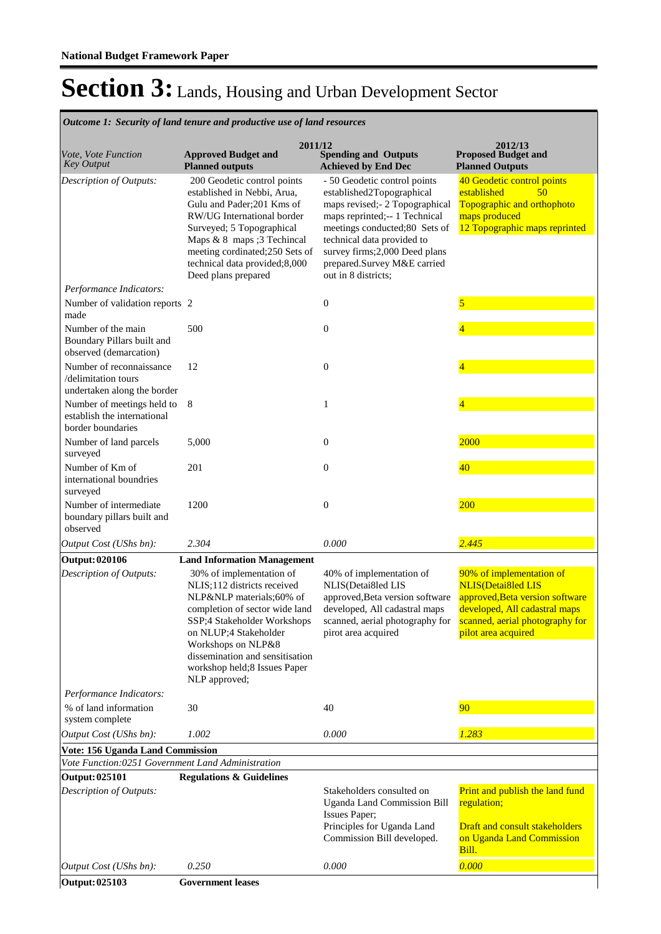**Spending and Outputs Achieved by End Dec Approved Budget and Planned outputs Proposed Budget and Planned Outputs 2011/12** *Vote, Vote Function Key Output* **2012/13** *Outcome 1: Security of land tenure and productive use of land resources* 200 Geodetic control points established in Nebbi, Arua, Gulu and Pader;201 Kms of RW/UG International border Surveyed; 5 Topographical Maps & 8 maps ;3 Techincal meeting cordinated;250 Sets of technical data provided;8,000 Deed plans prepared - 50 Geodetic control points established2Topographical maps revised;- 2 Topographical maps reprinted;-- 1 Technical meetings conducted;80 Sets of technical data provided to survey firms;2,000 Deed plans prepared.Survey M&E carried out in 8 districts; 40 Geodetic control points established 50 Topographic and orthophoto maps produced 12 Topographic maps reprinted *Output Cost (UShs bn): 2.304 0.000 2.445 Description of Outputs: Performance Indicators:* Number of validation reports made 2 0 5 Number of the main Boundary Pillars built and observed (demarcation) 500 0 0  $\frac{4}{5}$ Number of reconnaissance /delimitation tours undertaken along the border  $12$  0  $\frac{4}{3}$ Number of meetings held to establish the international border boundaries 8 1 4 Number of land parcels surveyed 5,000 0 0 2000 Number of Km of international boundries surveyed 201 0 0  $\frac{40}{40}$ Number of intermediate boundary pillars built and observed 1200 0 200 **Output: 020106 Land Information Management** 30% of implementation of NLIS;112 districts received NLP&NLP materials;60% of completion of sector wide land SSP;4 Stakeholder Workshops on NLUP;4 Stakeholder Workshops on NLP&8 dissemination and sensitisation workshop held;8 Issues Paper NLP approved; 40% of implementation of NLIS(Detai8led LIS approved,Beta version software developed, All cadastral maps scanned, aerial photography for pirot area acquired 90% of implementation of NLIS(Detai8led LIS approved,Beta version software developed, All cadastral maps scanned, aerial photography for pilot area acquired *Output Cost (UShs bn): 1.002 0.000 1.283 Description of Outputs: Performance Indicators:* % of land information system complete 30 40 50 40 **Vote: 156 Uganda Land Commission** *Vote Function:0251 Government Land Administration* **Output: 025101 Regulations & Guidelines** Stakeholders consulted on Uganda Land Commission Bill Issues Paper; Principles for Uganda Land Commission Bill developed. Print and publish the land fund regulation; Draft and consult stakeholders on Uganda Land Commission Bill. *Output Cost (UShs bn): 0.250 0.000 0.000 Description of Outputs:* **Output: 025103 Government leases**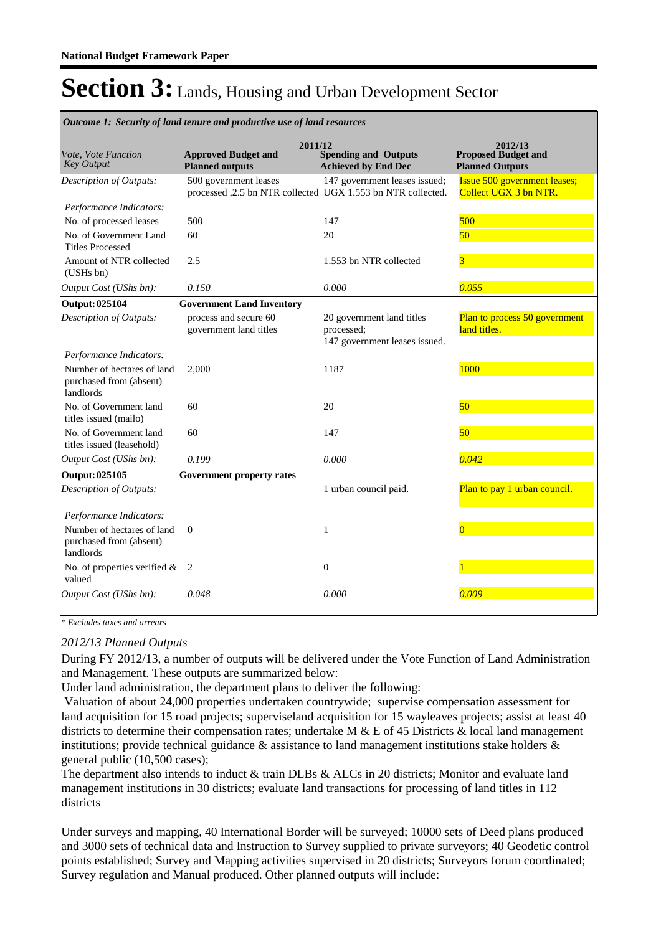|                                                                    | <b>Outcome 1: Security of land tenure and productive use of land resources</b>       |                                                                          |                                                                 |
|--------------------------------------------------------------------|--------------------------------------------------------------------------------------|--------------------------------------------------------------------------|-----------------------------------------------------------------|
| Vote, Vote Function<br><b>Key Output</b>                           | 2011/12<br><b>Approved Budget and</b><br><b>Planned outputs</b>                      | <b>Spending and Outputs</b><br><b>Achieved by End Dec</b>                | 2012/13<br><b>Proposed Budget and</b><br><b>Planned Outputs</b> |
| Description of Outputs:                                            | 500 government leases<br>processed ,2.5 bn NTR collected UGX 1.553 bn NTR collected. | 147 government leases issued;                                            | <b>Issue 500 government leases;</b><br>Collect UGX 3 bn NTR.    |
| Performance Indicators:                                            |                                                                                      |                                                                          |                                                                 |
| No. of processed leases                                            | 500                                                                                  | 147                                                                      | 500                                                             |
| No. of Government Land<br><b>Titles Processed</b>                  | 60                                                                                   | 20                                                                       | 50                                                              |
| Amount of NTR collected<br>(USHs bn)                               | 2.5                                                                                  | 1.553 bn NTR collected                                                   | 3                                                               |
| Output Cost (UShs bn):                                             | 0.150                                                                                | 0.000                                                                    | 0.055                                                           |
| <b>Output: 025104</b>                                              | <b>Government Land Inventory</b>                                                     |                                                                          |                                                                 |
| Description of Outputs:                                            | process and secure 60<br>government land titles                                      | 20 government land titles<br>processed:<br>147 government leases issued. | Plan to process 50 government<br>land titles.                   |
| Performance Indicators:                                            |                                                                                      |                                                                          |                                                                 |
| Number of hectares of land<br>purchased from (absent)<br>landlords | 2,000                                                                                | 1187                                                                     | 1000                                                            |
| No. of Government land<br>titles issued (mailo)                    | 60                                                                                   | 20                                                                       | 50                                                              |
| No. of Government land<br>titles issued (leasehold)                | 60                                                                                   | 147                                                                      | 50                                                              |
| Output Cost (UShs bn):                                             | 0.199                                                                                | 0.000                                                                    | 0.042                                                           |
| Output: 025105                                                     | Government property rates                                                            |                                                                          |                                                                 |
| Description of Outputs:                                            |                                                                                      | 1 urban council paid.                                                    | Plan to pay 1 urban council.                                    |
| Performance Indicators:                                            |                                                                                      |                                                                          |                                                                 |
| Number of hectares of land<br>purchased from (absent)<br>landlords | $\Omega$                                                                             | 1                                                                        | $\Omega$                                                        |
| No. of properties verified &<br>valued                             | -2                                                                                   | $\boldsymbol{0}$                                                         |                                                                 |
| Output Cost (UShs bn):                                             | 0.048                                                                                | 0.000                                                                    | 0.009                                                           |

*Outcome 1: Security of land tenure and productive use of land resources*

*\* Excludes taxes and arrears*

#### *2012/13 Planned Outputs*

During FY 2012/13, a number of outputs will be delivered under the Vote Function of Land Administration and Management. These outputs are summarized below:

Under land administration, the department plans to deliver the following:

 Valuation of about 24,000 properties undertaken countrywide; supervise compensation assessment for land acquisition for 15 road projects; superviseland acquisition for 15 wayleaves projects; assist at least 40 districts to determine their compensation rates; undertake M  $\&$  E of 45 Districts  $\&$  local land management institutions; provide technical guidance  $\&$  assistance to land management institutions stake holders  $\&$ general public (10,500 cases);

The department also intends to induct & train DLBs & ALCs in 20 districts; Monitor and evaluate land management institutions in 30 districts; evaluate land transactions for processing of land titles in 112 districts

Under surveys and mapping, 40 International Border will be surveyed; 10000 sets of Deed plans produced and 3000 sets of technical data and Instruction to Survey supplied to private surveyors; 40 Geodetic control points established; Survey and Mapping activities supervised in 20 districts; Surveyors forum coordinated; Survey regulation and Manual produced. Other planned outputs will include: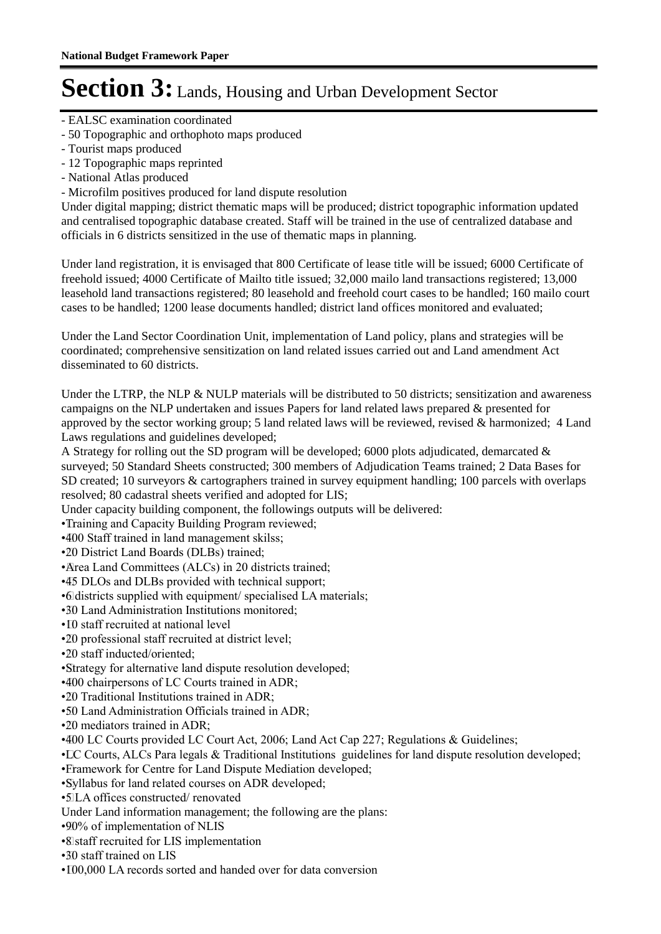- EALSC examination coordinated
- 50 Topographic and orthophoto maps produced
- Tourist maps produced
- 12 Topographic maps reprinted
- National Atlas produced
- Microfilm positives produced for land dispute resolution

Under digital mapping; district thematic maps will be produced; district topographic information updated and centralised topographic database created. Staff will be trained in the use of centralized database and officials in 6 districts sensitized in the use of thematic maps in planning.

Under land registration, it is envisaged that 800 Certificate of lease title will be issued; 6000 Certificate of freehold issued; 4000 Certificate of Mailto title issued; 32,000 mailo land transactions registered; 13,000 leasehold land transactions registered; 80 leasehold and freehold court cases to be handled; 160 mailo court cases to be handled; 1200 lease documents handled; district land offices monitored and evaluated;

Under the Land Sector Coordination Unit, implementation of Land policy, plans and strategies will be coordinated; comprehensive sensitization on land related issues carried out and Land amendment Act disseminated to 60 districts.

Under the LTRP, the NLP & NULP materials will be distributed to 50 districts; sensitization and awareness campaigns on the NLP undertaken and issues Papers for land related laws prepared & presented for approved by the sector working group; 5 land related laws will be reviewed, revised & harmonized; 4 Land Laws regulations and guidelines developed;

A Strategy for rolling out the SD program will be developed; 6000 plots adjudicated, demarcated  $\&$ surveyed; 50 Standard Sheets constructed; 300 members of Adjudication Teams trained; 2 Data Bases for SD created; 10 surveyors & cartographers trained in survey equipment handling; 100 parcels with overlaps resolved; 80 cadastral sheets verified and adopted for LIS;

Under capacity building component, the followings outputs will be delivered:

• Training and Capacity Building Program reviewed;

• 400 Staff trained in land management skilss;

• 20 District Land Boards (DLBs) trained;

• Area Land Committees (ALCs) in 20 districts trained;

• 45 DLOs and DLBs provided with technical support;

• 6 districts supplied with equipment/ specialised LA materials;

- 30 Land Administration Institutions monitored;
- ID staff recruited at national level
- •20 professional staff recruited at district level:
- • 20 staff inducted/oriented;
- • Strategy for alternative land dispute resolution developed;

•400 chairpersons of LC Courts trained in ADR;

•20 Traditional Institutions trained in ADR;

•50 Land Administration Officials trained in ADR;

 $\cdot$ 20 mediators trained in ADR $\cdot$ 

 $\cdot$ 400 LC Courts provided LC Court Act, 2006; Land Act Cap 227; Regulations & Guidelines;

• LC Courts, ALCs Para legals & Traditional Institutions guidelines for land dispute resolution developed;

• Framework for Centre for Land Dispute Mediation developed;

• Syllabus for land related courses on ADR developed;

• 5 LA offices constructed/ renovated

Under Land information management; the following are the plans:

• 90% of implementation of NLIS

• 8 staff recruited for LIS implementation

• 30 staff trained on LIS

•  $100,000$  LA records sorted and handed over for data conversion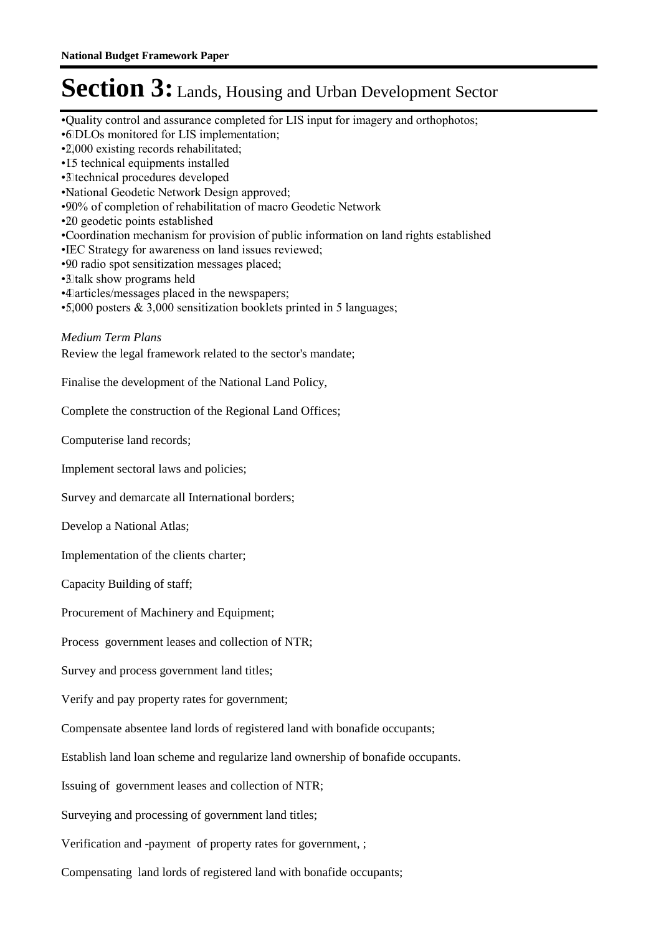- • Quality control and assurance completed for LIS input for imagery and orthophotos;
- • 6 DLOs monitored for LIS implementation;
- • 2,000 existing records rehabilitated;
- • 15 technical equipments installed
- • 3 technical procedures developed
- • National Geodetic Network Design approved;
- • 90% of completion of rehabilitation of macro Geodetic Network
- •20 geodetic points established
- • Coordination mechanism for provision of public information on land rights established
- IEC Strategy for awareness on land issues reviewed;
- • 90 radio spot sensitization messages placed;
- • 3 talk show programs held
- • 4 articles/messages placed in the newspapers;
- $\cdot$ 5,000 posters & 3,000 sensitization booklets printed in 5 languages;

#### *Medium Term Plans*

Review the legal framework related to the sector's mandate;

Finalise the development of the National Land Policy,

Complete the construction of the Regional Land Offices;

Computerise land records;

Implement sectoral laws and policies;

Survey and demarcate all International borders;

Develop a National Atlas;

Implementation of the clients charter;

Capacity Building of staff;

Procurement of Machinery and Equipment;

Process government leases and collection of NTR;

Survey and process government land titles;

Verify and pay property rates for government;

Compensate absentee land lords of registered land with bonafide occupants;

Establish land loan scheme and regularize land ownership of bonafide occupants.

Issuing of government leases and collection of NTR;

Surveying and processing of government land titles;

Verification and -payment of property rates for government, ;

Compensating land lords of registered land with bonafide occupants;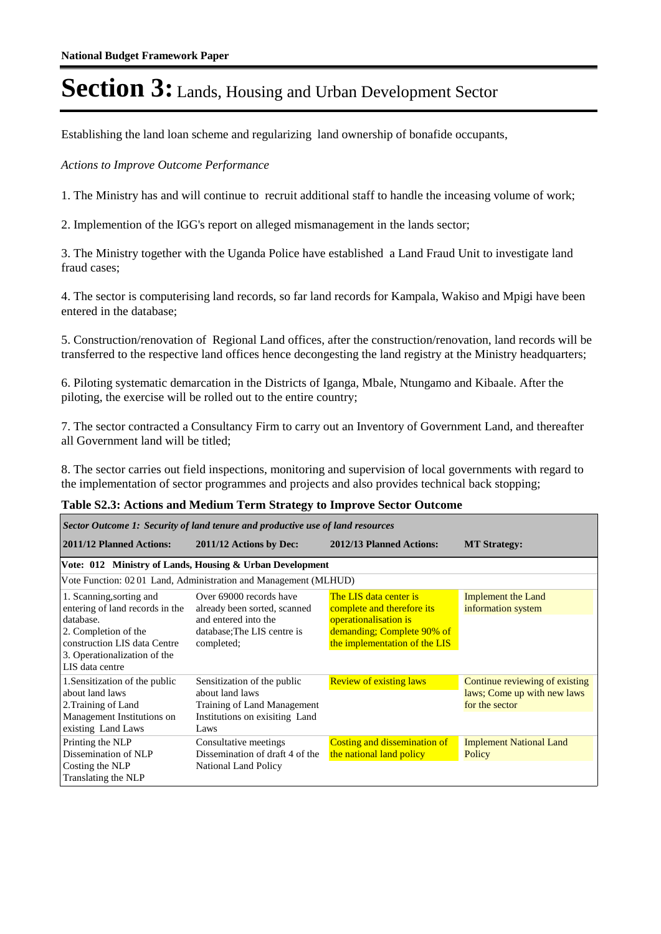Establishing the land loan scheme and regularizing land ownership of bonafide occupants,

#### *Actions to Improve Outcome Performance*

1. The Ministry has and will continue to recruit additional staff to handle the inceasing volume of work;

2. Implemention of the IGG's report on alleged mismanagement in the lands sector;

3. The Ministry together with the Uganda Police have established a Land Fraud Unit to investigate land fraud cases;

4. The sector is computerising land records, so far land records for Kampala, Wakiso and Mpigi have been entered in the database;

5. Construction/renovation of Regional Land offices, after the construction/renovation, land records will be transferred to the respective land offices hence decongesting the land registry at the Ministry headquarters;

6. Piloting systematic demarcation in the Districts of Iganga, Mbale, Ntungamo and Kibaale. After the piloting, the exercise will be rolled out to the entire country;

7. The sector contracted a Consultancy Firm to carry out an Inventory of Government Land, and thereafter all Government land will be titled;

8. The sector carries out field inspections, monitoring and supervision of local governments with regard to the implementation of sector programmes and projects and also provides technical back stopping;

| Sector Outcome 1: Security of land tenure and productive use of land resources                                                                                                      |                                                                                                                              |                                                                                                                                              |                                                                                 |  |  |  |
|-------------------------------------------------------------------------------------------------------------------------------------------------------------------------------------|------------------------------------------------------------------------------------------------------------------------------|----------------------------------------------------------------------------------------------------------------------------------------------|---------------------------------------------------------------------------------|--|--|--|
| 2011/12 Planned Actions:                                                                                                                                                            | 2011/12 Actions by Dec:                                                                                                      | 2012/13 Planned Actions:                                                                                                                     | <b>MT Strategy:</b>                                                             |  |  |  |
|                                                                                                                                                                                     | Vote: 012 Ministry of Lands, Housing & Urban Development                                                                     |                                                                                                                                              |                                                                                 |  |  |  |
|                                                                                                                                                                                     | Vote Function: 0201 Land, Administration and Management (MLHUD)                                                              |                                                                                                                                              |                                                                                 |  |  |  |
| 1. Scanning, sorting and<br>entering of land records in the<br>database.<br>2. Completion of the<br>construction LIS data Centre<br>3. Operationalization of the<br>LIS data centre | Over 69000 records have<br>already been sorted, scanned<br>and entered into the<br>database: The LIS centre is<br>completed; | The LIS data center is<br>complete and therefore its<br>operationalisation is<br>demanding; Complete 90% of<br>the implementation of the LIS | <b>Implement the Land</b><br>information system                                 |  |  |  |
| 1. Sensitization of the public<br>about land laws<br>2. Training of Land<br>Management Institutions on<br>existing Land Laws                                                        | Sensitization of the public<br>about land laws<br>Training of Land Management<br>Institutions on exisiting Land<br>Laws      | <b>Review of existing laws</b>                                                                                                               | Continue reviewing of existing<br>laws; Come up with new laws<br>for the sector |  |  |  |
| Printing the NLP<br>Dissemination of NLP<br>Costing the NLP<br>Translating the NLP                                                                                                  | Consultative meetings<br>Dissemination of draft 4 of the<br><b>National Land Policy</b>                                      | <b>Costing and dissemination of</b><br>the national land policy                                                                              | <b>Implement National Land</b><br>Policy                                        |  |  |  |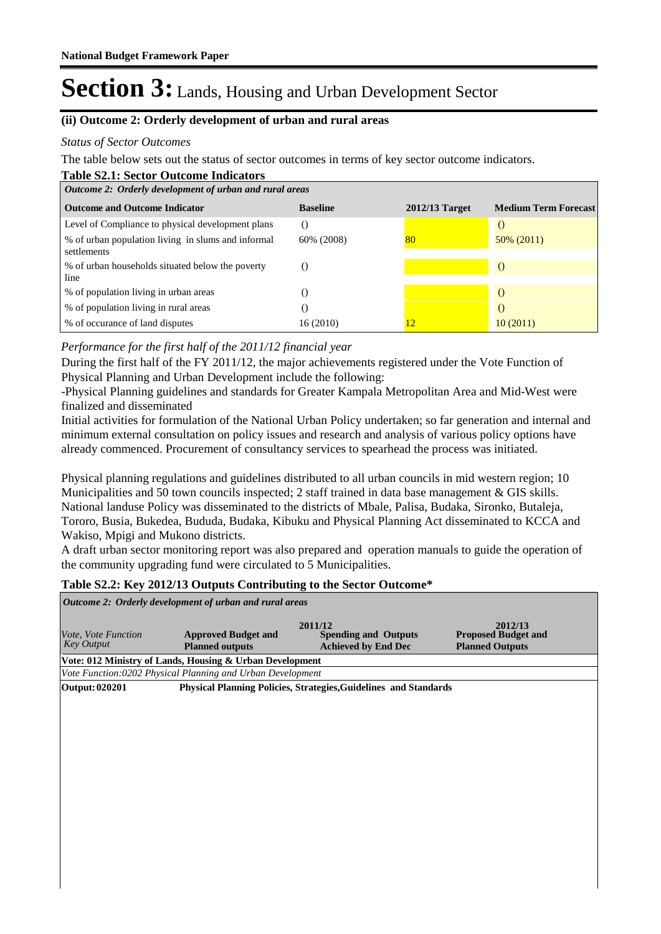### **(ii) Outcome 2: Orderly development of urban and rural areas**

#### *Status of Sector Outcomes*

The table below sets out the status of sector outcomes in terms of key sector outcome indicators.

| <b>Table S2.1: Sector Outcome Indicators</b>                      |                 |                  |                             |  |
|-------------------------------------------------------------------|-----------------|------------------|-----------------------------|--|
| Outcome 2: Orderly development of urban and rural areas           |                 |                  |                             |  |
| <b>Outcome and Outcome Indicator</b>                              | <b>Baseline</b> | $2012/13$ Target | <b>Medium Term Forecast</b> |  |
| Level of Compliance to physical development plans                 |                 |                  | $\left($                    |  |
| % of urban population living in slums and informal<br>settlements | 60% (2008)      | 80               | $50\%$ (2011)               |  |
| % of urban households situated below the poverty<br>line          |                 |                  | $\left($                    |  |
| % of population living in urban areas                             |                 |                  | $\left( \right)$            |  |
| % of population living in rural areas                             |                 |                  | $\left( \right)$            |  |
| % of occurance of land disputes                                   | 16 (2010)       | 12               | 10(2011)                    |  |

### *Performance for the first half of the 2011/12 financial year*

During the first half of the FY 2011/12, the major achievements registered under the Vote Function of Physical Planning and Urban Development include the following:

-Physical Planning guidelines and standards for Greater Kampala Metropolitan Area and Mid-West were finalized and disseminated

Initial activities for formulation of the National Urban Policy undertaken; so far generation and internal and minimum external consultation on policy issues and research and analysis of various policy options have already commenced. Procurement of consultancy services to spearhead the process was initiated.

Physical planning regulations and guidelines distributed to all urban councils in mid western region; 10 Municipalities and 50 town councils inspected; 2 staff trained in data base management & GIS skills. National landuse Policy was disseminated to the districts of Mbale, Palisa, Budaka, Sironko, Butaleja, Tororo, Busia, Bukedea, Bududa, Budaka, Kibuku and Physical Planning Act disseminated to KCCA and Wakiso, Mpigi and Mukono districts.

A draft urban sector monitoring report was also prepared and operation manuals to guide the operation of the community upgrading fund were circulated to 5 Municipalities.

### **Table S2.2: Key 2012/13 Outputs Contributing to the Sector Outcome\***

| Outcome 2: Orderly development of urban and rural areas |                                                            |                                                                      |                                                                 |  |
|---------------------------------------------------------|------------------------------------------------------------|----------------------------------------------------------------------|-----------------------------------------------------------------|--|
| Vote, Vote Function<br><b>Key Output</b>                | <b>Approved Budget and</b><br><b>Planned outputs</b>       | 2011/12<br><b>Spending and Outputs</b><br><b>Achieved by End Dec</b> | 2012/13<br><b>Proposed Budget and</b><br><b>Planned Outputs</b> |  |
|                                                         | Vote: 012 Ministry of Lands, Housing & Urban Development   |                                                                      |                                                                 |  |
|                                                         | Vote Function:0202 Physical Planning and Urban Development |                                                                      |                                                                 |  |
| <b>Output: 020201</b>                                   |                                                            | Physical Planning Policies, Strategies, Guidelines and Standards     |                                                                 |  |
|                                                         |                                                            |                                                                      |                                                                 |  |
|                                                         |                                                            |                                                                      |                                                                 |  |
|                                                         |                                                            |                                                                      |                                                                 |  |
|                                                         |                                                            |                                                                      |                                                                 |  |
|                                                         |                                                            |                                                                      |                                                                 |  |
|                                                         |                                                            |                                                                      |                                                                 |  |
|                                                         |                                                            |                                                                      |                                                                 |  |
|                                                         |                                                            |                                                                      |                                                                 |  |
|                                                         |                                                            |                                                                      |                                                                 |  |
|                                                         |                                                            |                                                                      |                                                                 |  |
|                                                         |                                                            |                                                                      |                                                                 |  |
|                                                         |                                                            |                                                                      |                                                                 |  |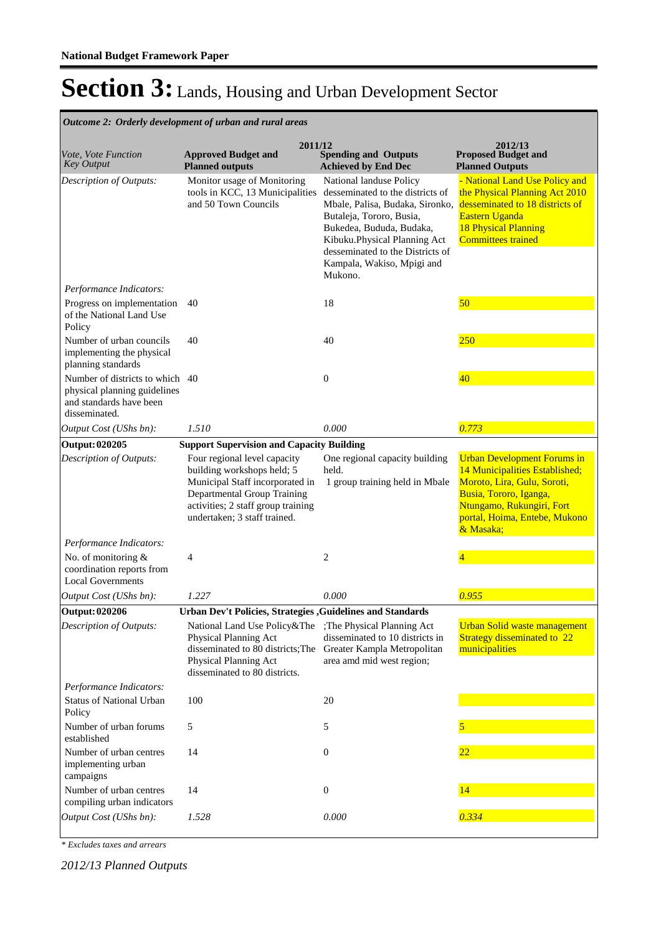|                                                                                                             | Outcome 2: Orderly development of urban and rural areas                                                                                                                                            |                                                                                                                                                                                                                                                                     |                                                                                                                                                                                                          |
|-------------------------------------------------------------------------------------------------------------|----------------------------------------------------------------------------------------------------------------------------------------------------------------------------------------------------|---------------------------------------------------------------------------------------------------------------------------------------------------------------------------------------------------------------------------------------------------------------------|----------------------------------------------------------------------------------------------------------------------------------------------------------------------------------------------------------|
| Vote, Vote Function<br><b>Key Output</b>                                                                    | 2011/12<br><b>Approved Budget and</b><br><b>Planned outputs</b>                                                                                                                                    | <b>Spending and Outputs</b><br><b>Achieved by End Dec</b>                                                                                                                                                                                                           | 2012/13<br><b>Proposed Budget and</b><br><b>Planned Outputs</b>                                                                                                                                          |
| Description of Outputs:                                                                                     | Monitor usage of Monitoring<br>tools in KCC, 13 Municipalities<br>and 50 Town Councils                                                                                                             | National landuse Policy<br>desseminated to the districts of<br>Mbale, Palisa, Budaka, Sironko,<br>Butaleja, Tororo, Busia,<br>Bukedea, Bududa, Budaka,<br>Kibuku.Physical Planning Act<br>desseminated to the Districts of<br>Kampala, Wakiso, Mpigi and<br>Mukono. | - National Land Use Policy and<br>the Physical Planning Act 2010<br>desseminated to 18 districts of<br>Eastern Uganda<br><b>18 Physical Planning</b><br><b>Committees trained</b>                        |
| Performance Indicators:                                                                                     |                                                                                                                                                                                                    |                                                                                                                                                                                                                                                                     |                                                                                                                                                                                                          |
| Progress on implementation<br>of the National Land Use<br>Policy                                            | 40                                                                                                                                                                                                 | 18                                                                                                                                                                                                                                                                  | 50                                                                                                                                                                                                       |
| Number of urban councils<br>implementing the physical<br>planning standards                                 | 40                                                                                                                                                                                                 | 40                                                                                                                                                                                                                                                                  | 250                                                                                                                                                                                                      |
| Number of districts to which 40<br>physical planning guidelines<br>and standards have been<br>disseminated. |                                                                                                                                                                                                    | $\mathbf{0}$                                                                                                                                                                                                                                                        | 40                                                                                                                                                                                                       |
| Output Cost (UShs bn):                                                                                      | 1.510                                                                                                                                                                                              | 0.000                                                                                                                                                                                                                                                               | 0.773                                                                                                                                                                                                    |
| <b>Output: 020205</b>                                                                                       | <b>Support Supervision and Capacity Building</b>                                                                                                                                                   |                                                                                                                                                                                                                                                                     |                                                                                                                                                                                                          |
| Description of Outputs:                                                                                     | Four regional level capacity<br>building workshops held; 5<br>Municipal Staff incorporated in<br>Departmental Group Training<br>activities; 2 staff group training<br>undertaken; 3 staff trained. | One regional capacity building<br>held.<br>1 group training held in Mbale                                                                                                                                                                                           | <b>Urban Development Forums in</b><br>14 Municipalities Established;<br>Moroto, Lira, Gulu, Soroti,<br>Busia, Tororo, Iganga,<br>Ntungamo, Rukungiri, Fort<br>portal, Hoima, Entebe, Mukono<br>& Masaka; |
| Performance Indicators:                                                                                     |                                                                                                                                                                                                    |                                                                                                                                                                                                                                                                     |                                                                                                                                                                                                          |
| No. of monitoring &<br>coordination reports from<br><b>Local Governments</b>                                | 4                                                                                                                                                                                                  | 2                                                                                                                                                                                                                                                                   | 4                                                                                                                                                                                                        |
| Output Cost (UShs bn):                                                                                      | 1.227                                                                                                                                                                                              | 0.000                                                                                                                                                                                                                                                               | 0.955                                                                                                                                                                                                    |
| <b>Output: 020206</b>                                                                                       | Urban Dev't Policies, Strategies, Guidelines and Standards                                                                                                                                         |                                                                                                                                                                                                                                                                     |                                                                                                                                                                                                          |
| Description of Outputs:                                                                                     | National Land Use Policy&The<br>Physical Planning Act<br>disseminated to 80 districts; The<br>Physical Planning Act<br>disseminated to 80 districts.                                               | ; The Physical Planning Act<br>disseminated to 10 districts in<br>Greater Kampla Metropolitan<br>area amd mid west region;                                                                                                                                          | <b>Urban Solid waste management</b><br><b>Strategy disseminated to 22</b><br>municipalities                                                                                                              |
| Performance Indicators:                                                                                     |                                                                                                                                                                                                    |                                                                                                                                                                                                                                                                     |                                                                                                                                                                                                          |
| <b>Status of National Urban</b><br>Policy                                                                   | 100                                                                                                                                                                                                | 20                                                                                                                                                                                                                                                                  |                                                                                                                                                                                                          |
| Number of urban forums<br>established                                                                       | 5                                                                                                                                                                                                  | 5                                                                                                                                                                                                                                                                   |                                                                                                                                                                                                          |
| Number of urban centres<br>implementing urban<br>campaigns                                                  | 14                                                                                                                                                                                                 | $\boldsymbol{0}$                                                                                                                                                                                                                                                    | $\overline{22}$                                                                                                                                                                                          |
| Number of urban centres<br>compiling urban indicators                                                       | 14                                                                                                                                                                                                 | $\mathbf{0}$                                                                                                                                                                                                                                                        | 14                                                                                                                                                                                                       |
| Output Cost (UShs bn):                                                                                      | 1.528                                                                                                                                                                                              | $0.000\,$                                                                                                                                                                                                                                                           | 0.334                                                                                                                                                                                                    |

*\* Excludes taxes and arrears*

*2012/13 Planned Outputs*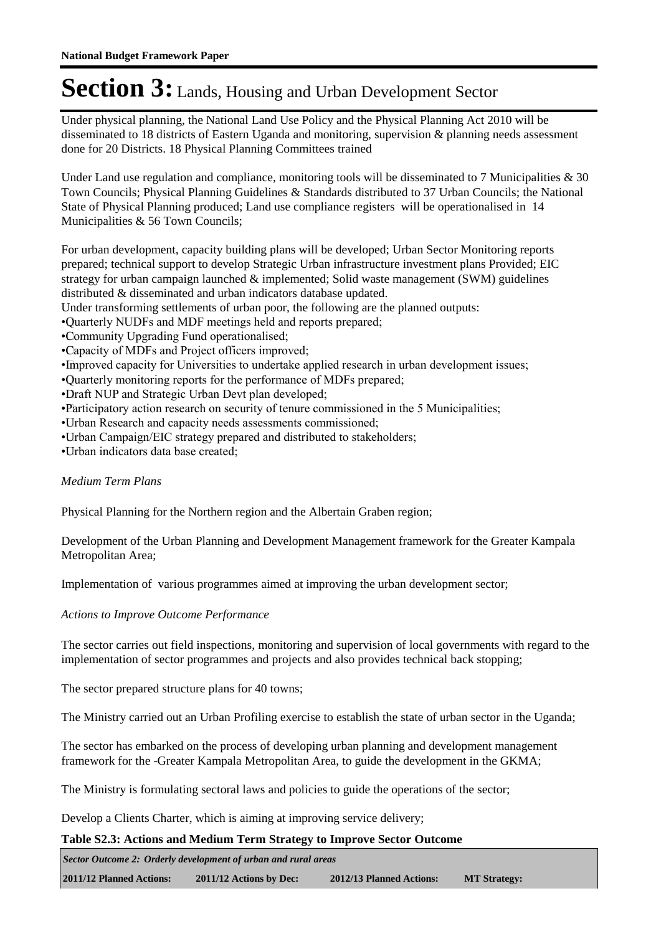Under physical planning, the National Land Use Policy and the Physical Planning Act 2010 will be disseminated to 18 districts of Eastern Uganda and monitoring, supervision & planning needs assessment done for 20 Districts. 18 Physical Planning Committees trained

Under Land use regulation and compliance, monitoring tools will be disseminated to 7 Municipalities  $\&$  30 Town Councils; Physical Planning Guidelines & Standards distributed to 37 Urban Councils; the National State of Physical Planning produced; Land use compliance registers will be operationalised in 14 Municipalities & 56 Town Councils;

For urban development, capacity building plans will be developed; Urban Sector Monitoring reports prepared; technical support to develop Strategic Urban infrastructure investment plans Provided; EIC strategy for urban campaign launched & implemented; Solid waste management (SWM) guidelines distributed & disseminated and urban indicators database updated.

Under transforming settlements of urban poor, the following are the planned outputs:

• Quarterly NUDFs and MDF meetings held and reports prepared;

• Community Upgrading Fund operationalised;

• Capacity of MDFs and Project officers improved;

• Improved capacity for Universities to undertake applied research in urban development issues;

• Quarterly monitoring reports for the performance of MDFs prepared;

• Draft NUP and Strategic Urban Devt plan developed;

• Participatory action research on security of tenure commissioned in the 5 Municipalities;

• Urban Research and capacity needs assessments commissioned;

• Urban Campaign/EIC strategy prepared and distributed to stakeholders;

• Urban indicators data base created;

#### *Medium Term Plans*

Physical Planning for the Northern region and the Albertain Graben region;

Development of the Urban Planning and Development Management framework for the Greater Kampala Metropolitan Area;

Implementation of various programmes aimed at improving the urban development sector;

*Actions to Improve Outcome Performance*

The sector carries out field inspections, monitoring and supervision of local governments with regard to the implementation of sector programmes and projects and also provides technical back stopping;

The sector prepared structure plans for 40 towns;

The Ministry carried out an Urban Profiling exercise to establish the state of urban sector in the Uganda;

The sector has embarked on the process of developing urban planning and development management framework for the -Greater Kampala Metropolitan Area, to guide the development in the GKMA;

The Ministry is formulating sectoral laws and policies to guide the operations of the sector;

Develop a Clients Charter, which is aiming at improving service delivery;

### **Table S2.3: Actions and Medium Term Strategy to Improve Sector Outcome**

**2011/12 Planned Actions: 2011/12 Actions by Dec: 2012/13 Planned Actions: MT Strategy:** *Sector Outcome 2: Orderly development of urban and rural areas*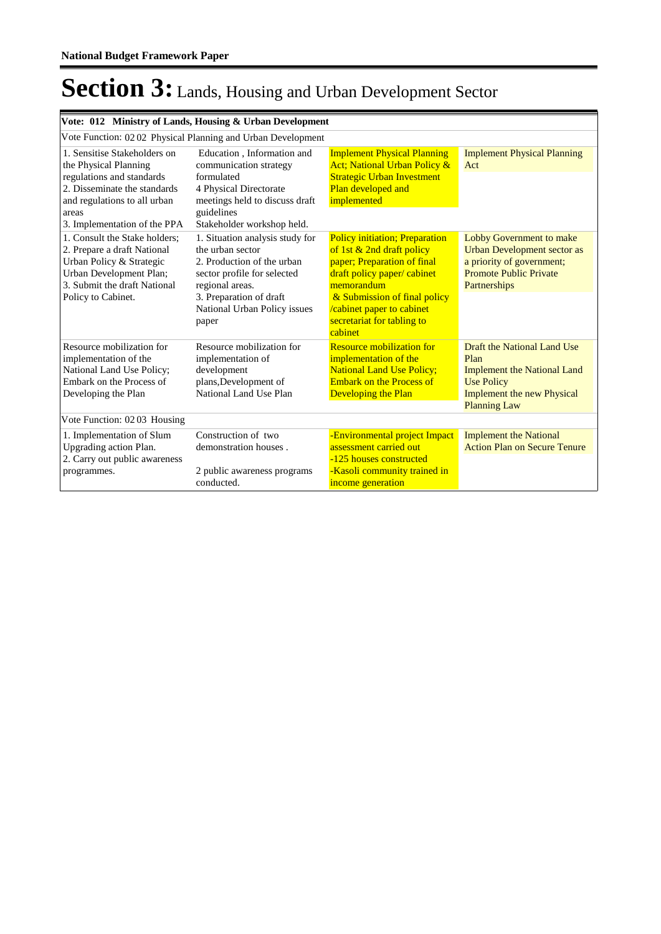| Vote: 012 Ministry of Lands, Housing & Urban Development                                                                                                                                    |                                                                                                                                                                                                         |                                                                                                                                                                                                                                                       |                                                                                                                                                            |
|---------------------------------------------------------------------------------------------------------------------------------------------------------------------------------------------|---------------------------------------------------------------------------------------------------------------------------------------------------------------------------------------------------------|-------------------------------------------------------------------------------------------------------------------------------------------------------------------------------------------------------------------------------------------------------|------------------------------------------------------------------------------------------------------------------------------------------------------------|
|                                                                                                                                                                                             | Vote Function: 02 02 Physical Planning and Urban Development                                                                                                                                            |                                                                                                                                                                                                                                                       |                                                                                                                                                            |
| 1. Sensitise Stakeholders on<br>the Physical Planning<br>regulations and standards<br>2. Disseminate the standards<br>and regulations to all urban<br>areas<br>3. Implementation of the PPA | Education, Information and<br>communication strategy<br>formulated<br>4 Physical Directorate<br>meetings held to discuss draft<br>guidelines<br>Stakeholder workshop held.                              | <b>Implement Physical Planning</b><br>Act; National Urban Policy &<br><b>Strategic Urban Investment</b><br>Plan developed and<br>implemented                                                                                                          | <b>Implement Physical Planning</b><br>Act                                                                                                                  |
| 1. Consult the Stake holders:<br>2. Prepare a draft National<br>Urban Policy & Strategic<br>Urban Development Plan;<br>3. Submit the draft National<br>Policy to Cabinet.                   | 1. Situation analysis study for<br>the urban sector<br>2. Production of the urban<br>sector profile for selected<br>regional areas.<br>3. Preparation of draft<br>National Urban Policy issues<br>paper | <b>Policy initiation; Preparation</b><br>of 1st $& 2nd$ draft policy<br>paper; Preparation of final<br>draft policy paper/ cabinet<br>memorandum<br>& Submission of final policy<br>cabinet paper to cabinet<br>secretariat for tabling to<br>cabinet | <b>Lobby Government to make</b><br><b>Urban Development sector as</b><br>a priority of government;<br><b>Promote Public Private</b><br>Partnerships        |
| Resource mobilization for<br>implementation of the<br>National Land Use Policy;<br>Embark on the Process of<br>Developing the Plan                                                          | Resource mobilization for<br>implementation of<br>development<br>plans, Development of<br>National Land Use Plan                                                                                        | <b>Resource mobilization for</b><br>implementation of the<br><b>National Land Use Policy;</b><br><b>Embark on the Process of</b><br><b>Developing the Plan</b>                                                                                        | Draft the National Land Use<br>Plan<br><b>Implement the National Land</b><br><b>Use Policy</b><br><b>Implement the new Physical</b><br><b>Planning Law</b> |
| Vote Function: 0203 Housing                                                                                                                                                                 |                                                                                                                                                                                                         |                                                                                                                                                                                                                                                       |                                                                                                                                                            |
| 1. Implementation of Slum<br>Upgrading action Plan.<br>2. Carry out public awareness<br>programmes.                                                                                         | Construction of two<br>demonstration houses.<br>2 public awareness programs<br>conducted.                                                                                                               | -Environmental project Impact<br>assessment carried out<br>-125 houses constructed<br>-Kasoli community trained in<br>income generation                                                                                                               | <b>Implement the National</b><br><b>Action Plan on Secure Tenure</b>                                                                                       |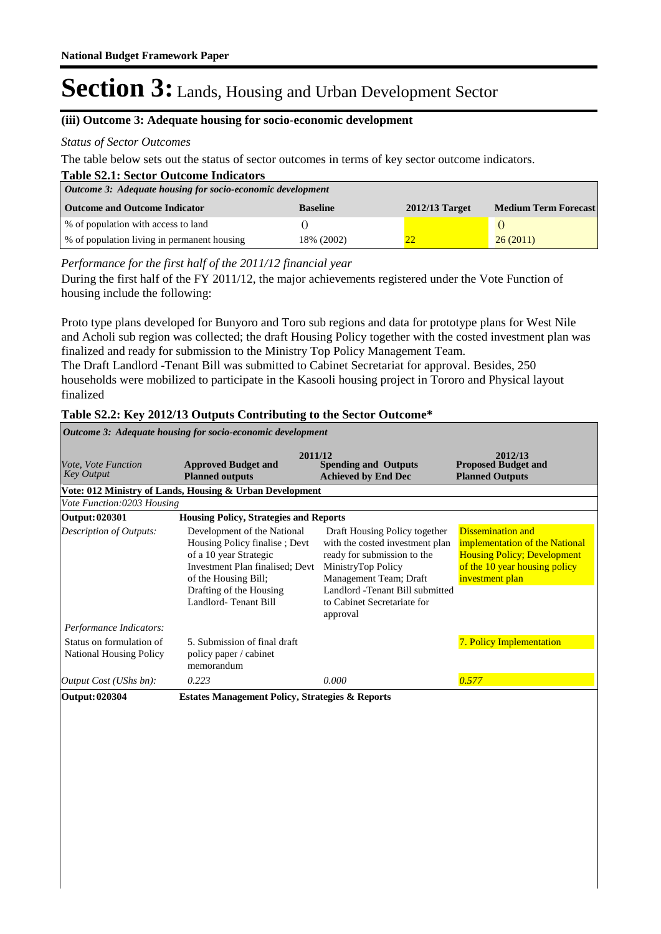### **(iii) Outcome 3: Adequate housing for socio-economic development**

#### *Status of Sector Outcomes*

The table below sets out the status of sector outcomes in terms of key sector outcome indicators.

| <b>Table S2.1: Sector Outcome Indicators</b>               |                 |                  |                             |  |
|------------------------------------------------------------|-----------------|------------------|-----------------------------|--|
| Outcome 3: Adequate housing for socio-economic development |                 |                  |                             |  |
| <b>Outcome and Outcome Indicator</b>                       | <b>Baseline</b> | $2012/13$ Target | <b>Medium Term Forecast</b> |  |
| % of population with access to land                        |                 |                  |                             |  |
| % of population living in permanent housing                | 18% (2002)      | 22               | 26(2011)                    |  |

*Performance for the first half of the 2011/12 financial year*

During the first half of the FY 2011/12, the major achievements registered under the Vote Function of housing include the following:

Proto type plans developed for Bunyoro and Toro sub regions and data for prototype plans for West Nile and Acholi sub region was collected; the draft Housing Policy together with the costed investment plan was finalized and ready for submission to the Ministry Top Policy Management Team.

The Draft Landlord -Tenant Bill was submitted to Cabinet Secretariat for approval. Besides, 250 households were mobilized to participate in the Kasooli housing project in Tororo and Physical layout finalized

| Vote, Vote Function<br><b>Key Output</b>                   | 2011/12<br><b>Approved Budget and</b><br><b>Planned outputs</b>                                                                                                                                      | <b>Spending and Outputs</b><br><b>Achieved by End Dec</b>                                                                                                                                                                     | 2012/13<br><b>Proposed Budget and</b><br><b>Planned Outputs</b>                                                                                      |
|------------------------------------------------------------|------------------------------------------------------------------------------------------------------------------------------------------------------------------------------------------------------|-------------------------------------------------------------------------------------------------------------------------------------------------------------------------------------------------------------------------------|------------------------------------------------------------------------------------------------------------------------------------------------------|
|                                                            | Vote: 012 Ministry of Lands, Housing & Urban Development                                                                                                                                             |                                                                                                                                                                                                                               |                                                                                                                                                      |
| Vote Function:0203 Housing                                 |                                                                                                                                                                                                      |                                                                                                                                                                                                                               |                                                                                                                                                      |
| <b>Output: 020301</b>                                      | <b>Housing Policy, Strategies and Reports</b>                                                                                                                                                        |                                                                                                                                                                                                                               |                                                                                                                                                      |
| <b>Description of Outputs:</b>                             | Development of the National<br>Housing Policy finalise; Devt<br>of a 10 year Strategic<br>Investment Plan finalised; Devt<br>of the Housing Bill;<br>Drafting of the Housing<br>Landlord-Tenant Bill | Draft Housing Policy together<br>with the costed investment plan<br>ready for submission to the<br>MinistryTop Policy<br>Management Team; Draft<br>Landlord -Tenant Bill submitted<br>to Cabinet Secretariate for<br>approval | <b>Dissemination and</b><br>implementation of the National<br><b>Housing Policy; Development</b><br>of the 10 year housing policy<br>investment plan |
| Performance Indicators:                                    |                                                                                                                                                                                                      |                                                                                                                                                                                                                               |                                                                                                                                                      |
| Status on formulation of<br><b>National Housing Policy</b> | 5. Submission of final draft<br>policy paper / cabinet<br>memorandum                                                                                                                                 |                                                                                                                                                                                                                               | 7. Policy Implementation                                                                                                                             |
| Output Cost (UShs bn):                                     | 0.223                                                                                                                                                                                                | 0.000                                                                                                                                                                                                                         | 0.577                                                                                                                                                |
| <b>Output: 020304</b>                                      | <b>Estates Management Policy, Strategies &amp; Reports</b>                                                                                                                                           |                                                                                                                                                                                                                               |                                                                                                                                                      |

#### **Table S2.2: Key 2012/13 Outputs Contributing to the Sector Outcome\***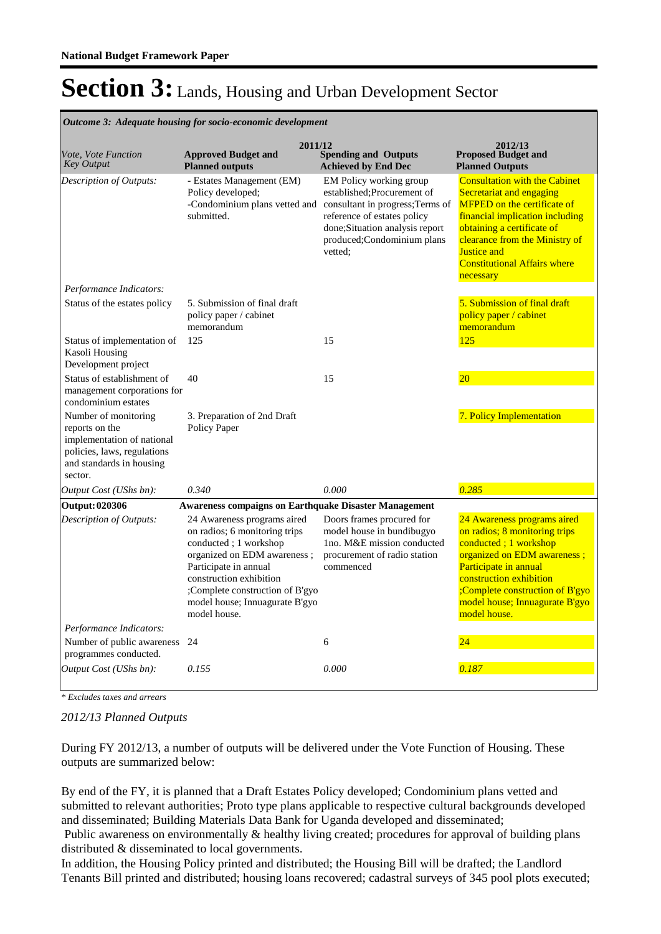| Outcome 3: Adequate housing for socio-economic development                                                                                 |                                                                                                                                                                                                                                                               |                                                                                                                                                                                                                                     |                                                                                                                                                                                                                                                                                     |  |  |  |  |  |  |
|--------------------------------------------------------------------------------------------------------------------------------------------|---------------------------------------------------------------------------------------------------------------------------------------------------------------------------------------------------------------------------------------------------------------|-------------------------------------------------------------------------------------------------------------------------------------------------------------------------------------------------------------------------------------|-------------------------------------------------------------------------------------------------------------------------------------------------------------------------------------------------------------------------------------------------------------------------------------|--|--|--|--|--|--|
| Vote, Vote Function<br><b>Key Output</b>                                                                                                   | 2011/12<br><b>Approved Budget and</b><br><b>Planned outputs</b>                                                                                                                                                                                               | <b>Spending and Outputs</b><br><b>Achieved by End Dec</b>                                                                                                                                                                           | 2012/13<br><b>Proposed Budget and</b><br><b>Planned Outputs</b>                                                                                                                                                                                                                     |  |  |  |  |  |  |
| Description of Outputs:                                                                                                                    | - Estates Management (EM)<br>Policy developed;<br>submitted.                                                                                                                                                                                                  | EM Policy working group<br>established; Procurement of<br>-Condominium plans vetted and consultant in progress; Terms of<br>reference of estates policy<br>done; Situation analysis report<br>produced;Condominium plans<br>vetted: | <b>Consultation with the Cabinet</b><br>Secretariat and engaging<br><b>MFPED</b> on the certificate of<br>financial implication including<br>obtaining a certificate of<br>clearance from the Ministry of<br><b>Justice and</b><br><b>Constitutional Affairs where</b><br>necessary |  |  |  |  |  |  |
| Performance Indicators:                                                                                                                    |                                                                                                                                                                                                                                                               |                                                                                                                                                                                                                                     |                                                                                                                                                                                                                                                                                     |  |  |  |  |  |  |
| Status of the estates policy                                                                                                               | 5. Submission of final draft<br>policy paper / cabinet<br>memorandum                                                                                                                                                                                          |                                                                                                                                                                                                                                     | 5. Submission of final draft<br>policy paper / cabinet<br>memorandum                                                                                                                                                                                                                |  |  |  |  |  |  |
| Status of implementation of<br>Kasoli Housing<br>Development project                                                                       | 125                                                                                                                                                                                                                                                           | 15                                                                                                                                                                                                                                  | 125                                                                                                                                                                                                                                                                                 |  |  |  |  |  |  |
| Status of establishment of<br>management corporations for<br>condominium estates                                                           | 40                                                                                                                                                                                                                                                            | 15                                                                                                                                                                                                                                  | 20                                                                                                                                                                                                                                                                                  |  |  |  |  |  |  |
| Number of monitoring<br>reports on the<br>implementation of national<br>policies, laws, regulations<br>and standards in housing<br>sector. | 3. Preparation of 2nd Draft<br>Policy Paper                                                                                                                                                                                                                   |                                                                                                                                                                                                                                     | 7. Policy Implementation                                                                                                                                                                                                                                                            |  |  |  |  |  |  |
| Output Cost (UShs bn):                                                                                                                     | 0.340                                                                                                                                                                                                                                                         | 0.000                                                                                                                                                                                                                               | 0.285                                                                                                                                                                                                                                                                               |  |  |  |  |  |  |
| <b>Output: 020306</b>                                                                                                                      | <b>Awareness compaigns on Earthquake Disaster Management</b>                                                                                                                                                                                                  |                                                                                                                                                                                                                                     |                                                                                                                                                                                                                                                                                     |  |  |  |  |  |  |
| Description of Outputs:                                                                                                                    | 24 Awareness programs aired<br>on radios; 6 monitoring trips<br>conducted; 1 workshop<br>organized on EDM awareness;<br>Participate in annual<br>construction exhibition<br>;Complete construction of B'gyo<br>model house; Innuagurate B'gyo<br>model house. | Doors frames procured for<br>model house in bundibugyo<br>1no. M&E mission conducted<br>procurement of radio station<br>commenced                                                                                                   | 24 Awareness programs aired<br>on radios; 8 monitoring trips<br>conducted; 1 workshop<br>organized on EDM awareness;<br>Participate in annual<br>construction exhibition<br>;Complete construction of B'gyo<br>model house; Innuagurate B'gyo<br>model house.                       |  |  |  |  |  |  |
| Performance Indicators:                                                                                                                    |                                                                                                                                                                                                                                                               |                                                                                                                                                                                                                                     |                                                                                                                                                                                                                                                                                     |  |  |  |  |  |  |
| Number of public awareness<br>programmes conducted.                                                                                        | 24                                                                                                                                                                                                                                                            | 6                                                                                                                                                                                                                                   | 24                                                                                                                                                                                                                                                                                  |  |  |  |  |  |  |
| Output Cost (UShs bn):                                                                                                                     | 0.155                                                                                                                                                                                                                                                         | 0.000                                                                                                                                                                                                                               | 0.187                                                                                                                                                                                                                                                                               |  |  |  |  |  |  |

*Outcome 3: Adequate housing for socio-economic development*

*\* Excludes taxes and arrears*

#### *2012/13 Planned Outputs*

During FY 2012/13, a number of outputs will be delivered under the Vote Function of Housing. These outputs are summarized below:

By end of the FY, it is planned that a Draft Estates Policy developed; Condominium plans vetted and submitted to relevant authorities; Proto type plans applicable to respective cultural backgrounds developed and disseminated; Building Materials Data Bank for Uganda developed and disseminated;

Public awareness on environmentally & healthy living created; procedures for approval of building plans distributed & disseminated to local governments.

In addition, the Housing Policy printed and distributed; the Housing Bill will be drafted; the Landlord Tenants Bill printed and distributed; housing loans recovered; cadastral surveys of 345 pool plots executed;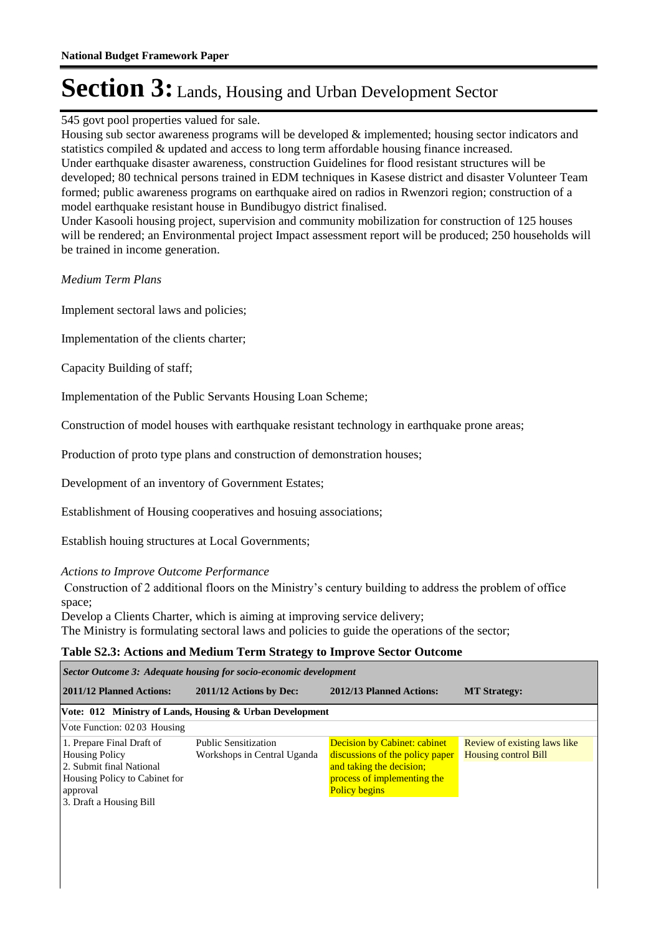545 govt pool properties valued for sale.

Housing sub sector awareness programs will be developed & implemented; housing sector indicators and statistics compiled & updated and access to long term affordable housing finance increased. Under earthquake disaster awareness, construction Guidelines for flood resistant structures will be developed; 80 technical persons trained in EDM techniques in Kasese district and disaster Volunteer Team formed; public awareness programs on earthquake aired on radios in Rwenzori region; construction of a model earthquake resistant house in Bundibugyo district finalised.

Under Kasooli housing project, supervision and community mobilization for construction of 125 houses will be rendered; an Environmental project Impact assessment report will be produced; 250 households will be trained in income generation.

*Medium Term Plans*

Implement sectoral laws and policies;

Implementation of the clients charter;

Capacity Building of staff;

Implementation of the Public Servants Housing Loan Scheme;

Construction of model houses with earthquake resistant technology in earthquake prone areas;

Production of proto type plans and construction of demonstration houses;

Development of an inventory of Government Estates;

Establishment of Housing cooperatives and hosuing associations;

Establish houing structures at Local Governments;

#### *Actions to Improve Outcome Performance*

 Construction of 2 additional floors on the Ministry's century building to address the problem of office space;

Develop a Clients Charter, which is aiming at improving service delivery; The Ministry is formulating sectoral laws and policies to guide the operations of the sector;

### **Table S2.3: Actions and Medium Term Strategy to Improve Sector Outcome**

| Sector Outcome 3: Adequate housing for socio-economic development                                                                                      |                                                            |                                                                                                                                                           |                                                             |  |  |  |  |  |  |
|--------------------------------------------------------------------------------------------------------------------------------------------------------|------------------------------------------------------------|-----------------------------------------------------------------------------------------------------------------------------------------------------------|-------------------------------------------------------------|--|--|--|--|--|--|
| 2011/12 Planned Actions:<br>2011/12 Actions by Dec:                                                                                                    |                                                            | 2012/13 Planned Actions:                                                                                                                                  | <b>MT Strategy:</b>                                         |  |  |  |  |  |  |
|                                                                                                                                                        | Vote: 012 Ministry of Lands, Housing & Urban Development   |                                                                                                                                                           |                                                             |  |  |  |  |  |  |
| Vote Function: 0203 Housing                                                                                                                            |                                                            |                                                                                                                                                           |                                                             |  |  |  |  |  |  |
| 1. Prepare Final Draft of<br><b>Housing Policy</b><br>2. Submit final National<br>Housing Policy to Cabinet for<br>approval<br>3. Draft a Housing Bill | <b>Public Sensitization</b><br>Workshops in Central Uganda | <b>Decision by Cabinet: cabinet</b><br>discussions of the policy paper<br>and taking the decision;<br>process of implementing the<br><b>Policy begins</b> | Review of existing laws like<br><b>Housing control Bill</b> |  |  |  |  |  |  |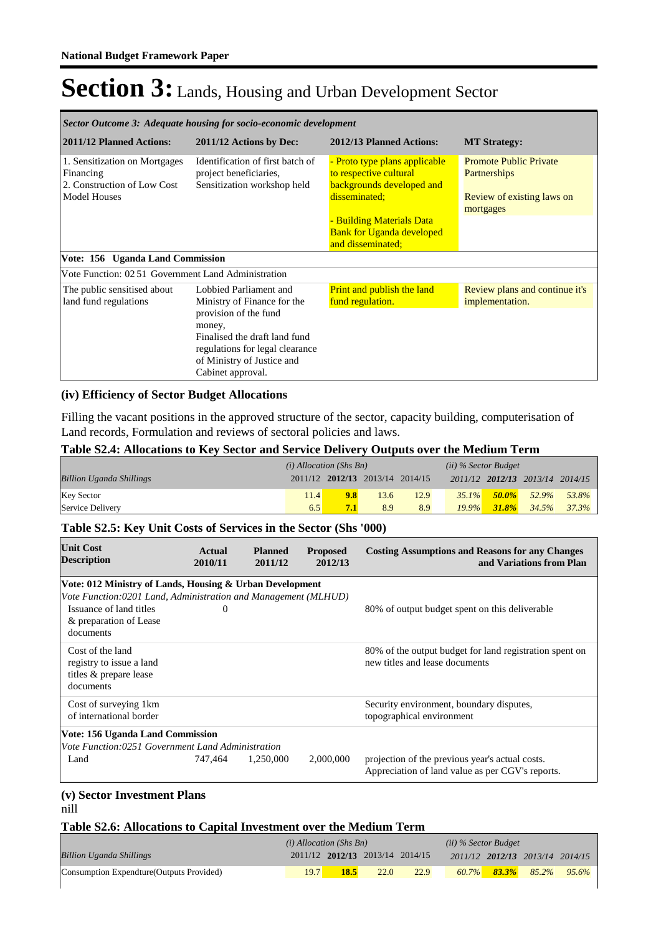| Sector Outcome 3: Adequate housing for socio-economic development                                                                    |                                                                                                                                                                                                                 |                                                                                                                                                                                             |                                                                                          |  |  |  |  |  |  |  |
|--------------------------------------------------------------------------------------------------------------------------------------|-----------------------------------------------------------------------------------------------------------------------------------------------------------------------------------------------------------------|---------------------------------------------------------------------------------------------------------------------------------------------------------------------------------------------|------------------------------------------------------------------------------------------|--|--|--|--|--|--|--|
| 2011/12 Planned Actions:                                                                                                             | 2011/12 Actions by Dec:                                                                                                                                                                                         | 2012/13 Planned Actions:                                                                                                                                                                    | <b>MT Strategy:</b>                                                                      |  |  |  |  |  |  |  |
| 1. Sensitization on Mortgages<br>Financing<br>2. Construction of Low Cost<br><b>Model Houses</b><br>Vote: 156 Uganda Land Commission | Identification of first batch of<br>project beneficiaries,<br>Sensitization workshop held                                                                                                                       | - Proto type plans applicable<br>to respective cultural<br>backgrounds developed and<br>disseminated;<br>- Building Materials Data<br><b>Bank for Uganda developed</b><br>and disseminated; | <b>Promote Public Private</b><br>Partnerships<br>Review of existing laws on<br>mortgages |  |  |  |  |  |  |  |
| Vote Function: 02.51 Government Land Administration                                                                                  |                                                                                                                                                                                                                 |                                                                                                                                                                                             |                                                                                          |  |  |  |  |  |  |  |
| The public sensitised about<br>land fund regulations                                                                                 | Lobbied Parliament and<br>Ministry of Finance for the<br>provision of the fund<br>money,<br>Finalised the draft land fund<br>regulations for legal clearance<br>of Ministry of Justice and<br>Cabinet approval. | <b>Print and publish the land</b><br>fund regulation.                                                                                                                                       | Review plans and continue it's<br>implementation.                                        |  |  |  |  |  |  |  |

#### **(iv) Efficiency of Sector Budget Allocations**

Filling the vacant positions in the approved structure of the sector, capacity building, computerisation of Land records, Formulation and reviews of sectoral policies and laws.

#### **Table S2.4: Allocations to Key Sector and Service Delivery Outputs over the Medium Term**

|                                 | $(i)$ Allocation (Shs Bn) |                                 |      | $(ii)$ % Sector Budget |          |           |                                 |       |
|---------------------------------|---------------------------|---------------------------------|------|------------------------|----------|-----------|---------------------------------|-------|
| <b>Billion Uganda Shillings</b> |                           | 2011/12 2012/13 2013/14 2014/15 |      |                        |          |           | 2011/12 2012/13 2013/14 2014/15 |       |
| Key Sector                      | 11.4                      | 9.8                             | 13.6 | 12.9                   | $35.1\%$ | $-50.0\%$ | $52.9\%$                        | 53.8% |
| Service Delivery                | 6.5                       | 7.1                             | 8.9  | 8.9                    | $19.9\%$ | $31.8\%$  | 34.5%                           | 37.3% |

#### **Table S2.5: Key Unit Costs of Services in the Sector (Shs '000)**

| <b>Unit Cost</b><br><b>Description</b>                                              | Actual<br>2010/11 | <b>Planned</b><br>2011/12 | <b>Proposed</b><br>2012/13 | <b>Costing Assumptions and Reasons for any Changes</b><br>and Variations from Plan                  |
|-------------------------------------------------------------------------------------|-------------------|---------------------------|----------------------------|-----------------------------------------------------------------------------------------------------|
| Vote: 012 Ministry of Lands, Housing & Urban Development                            |                   |                           |                            |                                                                                                     |
| Vote Function: 0201 Land, Administration and Management (MLHUD)                     |                   |                           |                            |                                                                                                     |
| Issuance of land titles<br>& preparation of Lease<br>documents                      | 0                 |                           |                            | 80% of output budget spent on this deliverable                                                      |
| Cost of the land<br>registry to issue a land<br>titles & prepare lease<br>documents |                   |                           |                            | 80% of the output budget for land registration spent on<br>new titles and lease documents           |
| Cost of surveying 1km                                                               |                   |                           |                            | Security environment, boundary disputes,                                                            |
| of international border                                                             |                   |                           |                            | topographical environment                                                                           |
| Vote: 156 Uganda Land Commission                                                    |                   |                           |                            |                                                                                                     |
| Vote Function:0251 Government Land Administration                                   |                   |                           |                            |                                                                                                     |
| Land                                                                                | 747,464           | 1,250,000                 | 2,000,000                  | projection of the previous year's actual costs.<br>Appreciation of land value as per CGV's reports. |

#### **(v) Sector Investment Plans** nill

#### **Table S2.6: Allocations to Capital Investment over the Medium Term**

|                                           | $(i)$ Allocation (Shs Bn) |                                 |      | $(ii)$ % Sector Budget |          |          |                                 |       |
|-------------------------------------------|---------------------------|---------------------------------|------|------------------------|----------|----------|---------------------------------|-------|
| Billion Uganda Shillings                  |                           | 2011/12 2012/13 2013/14 2014/15 |      |                        |          |          | 2011/12 2012/13 2013/14 2014/15 |       |
| Consumption Expendture (Outputs Provided) | 19.7                      | 18.5                            | 22.0 | 22.9                   | $60.7\%$ | $83.3\%$ | 85.2%                           | 95.6% |
|                                           |                           |                                 |      |                        |          |          |                                 |       |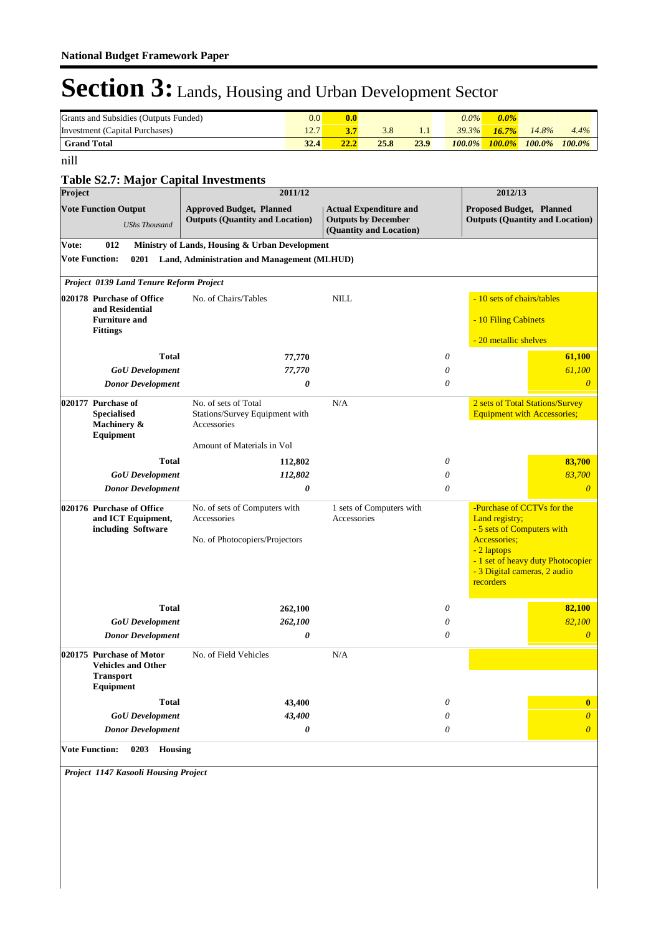| Grants and Subsidies (Outputs Funded) | 0.0  | 0.0  |      |      | $0.0\%$   | $0.0\%$   |           |           |
|---------------------------------------|------|------|------|------|-----------|-----------|-----------|-----------|
| Investment (Capital Purchases)        | 12.  |      |      |      | $39.3\%$  | $16.7\%$  | $14.8\%$  | 4.4%      |
| <b>Grand Total</b>                    | 32.4 | 22.2 | 25.8 | 23.9 | $100.0\%$ | $100.0\%$ | $100.0\%$ | $100.0\%$ |

nill

### **Table S2.7: Major Capital Investments**

| Table 52.7. Inajor Capital Investments<br>Project                                      | 2011/12                                                                   |                                                                                        |   | 2012/13                                                                    |                                        |
|----------------------------------------------------------------------------------------|---------------------------------------------------------------------------|----------------------------------------------------------------------------------------|---|----------------------------------------------------------------------------|----------------------------------------|
| <b>Vote Function Output</b><br><b>UShs Thousand</b>                                    | <b>Approved Budget, Planned</b><br><b>Outputs (Quantity and Location)</b> | <b>Actual Expenditure and</b><br><b>Outputs by December</b><br>(Quantity and Location) |   | Proposed Budget, Planned                                                   | <b>Outputs (Quantity and Location)</b> |
| Vote:<br>012                                                                           | Ministry of Lands, Housing & Urban Development                            |                                                                                        |   |                                                                            |                                        |
| <b>Vote Function:</b>                                                                  | 0201 Land, Administration and Management (MLHUD)                          |                                                                                        |   |                                                                            |                                        |
| Project 0139 Land Tenure Reform Project                                                |                                                                           |                                                                                        |   |                                                                            |                                        |
| 020178 Purchase of Office<br>and Residential                                           | No. of Chairs/Tables                                                      | <b>NILL</b>                                                                            |   | - 10 sets of chairs/tables                                                 |                                        |
| <b>Furniture and</b><br><b>Fittings</b>                                                |                                                                           |                                                                                        |   | - 10 Filing Cabinets                                                       |                                        |
|                                                                                        |                                                                           |                                                                                        |   | - 20 metallic shelves                                                      |                                        |
| Total                                                                                  | 77,770                                                                    |                                                                                        | 0 |                                                                            | 61,100                                 |
| <b>GoU</b> Development                                                                 | 77,770                                                                    |                                                                                        | 0 |                                                                            | 61,100                                 |
| <b>Donor Development</b>                                                               | 0                                                                         |                                                                                        | 0 |                                                                            | $\theta$                               |
| 020177 Purchase of                                                                     | No. of sets of Total                                                      | N/A                                                                                    |   | 2 sets of Total Stations/Survey                                            |                                        |
| <b>Specialised</b><br>Machinery &<br>Equipment                                         | Stations/Survey Equipment with<br>Accessories                             |                                                                                        |   | <b>Equipment with Accessories;</b>                                         |                                        |
|                                                                                        | Amount of Materials in Vol                                                |                                                                                        |   |                                                                            |                                        |
| Total                                                                                  | 112,802                                                                   |                                                                                        | 0 |                                                                            | 83,700                                 |
| <b>GoU</b> Development                                                                 | 112,802                                                                   |                                                                                        | 0 |                                                                            | 83,700                                 |
| <b>Donor Development</b>                                                               | 0                                                                         |                                                                                        | 0 |                                                                            | $\theta$                               |
| 020176 Purchase of Office<br>and ICT Equipment,<br>including Software                  | No. of sets of Computers with<br>Accessories                              | 1 sets of Computers with<br>Accessories                                                |   | -Purchase of CCTVs for the<br>Land registry;<br>- 5 sets of Computers with |                                        |
|                                                                                        | No. of Photocopiers/Projectors                                            |                                                                                        |   | Accessories;<br>- 2 laptops<br>- 3 Digital cameras, 2 audio<br>recorders   | - 1 set of heavy duty Photocopier      |
| <b>Total</b>                                                                           | 262,100                                                                   |                                                                                        | 0 |                                                                            | 82,100                                 |
| <b>GoU</b> Development                                                                 | 262,100                                                                   |                                                                                        | 0 |                                                                            | 82,100                                 |
| <b>Donor Development</b>                                                               | 0                                                                         |                                                                                        | 0 |                                                                            | $\theta$                               |
| 020175 Purchase of Motor<br><b>Vehicles and Other</b><br><b>Transport</b><br>Equipment | No. of Field Vehicles                                                     | N/A                                                                                    |   |                                                                            |                                        |
| <b>Total</b>                                                                           | 43,400                                                                    |                                                                                        | 0 |                                                                            | $\bf{0}$                               |
| <b>GoU</b> Development                                                                 | 43,400                                                                    |                                                                                        | 0 |                                                                            | $\theta$                               |
| <b>Donor Development</b>                                                               | 0                                                                         |                                                                                        | 0 |                                                                            | $\overline{0}$                         |
| <b>Vote Function:</b><br>0203 Housing                                                  |                                                                           |                                                                                        |   |                                                                            |                                        |
| Project 1147 Kasooli Housing Project                                                   |                                                                           |                                                                                        |   |                                                                            |                                        |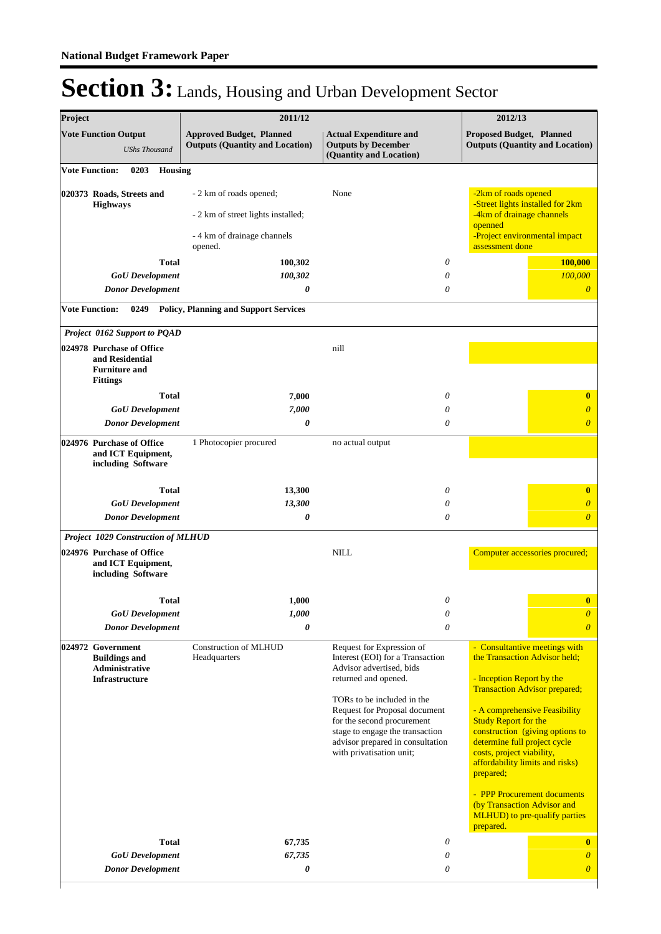| Project                                                                                              | 2011/12                                                                                                 |                                                                                                                                                                                                                                                                                                                               | 2012/13                                                                                                                                                                                                                                                                                                                                                                                                                                                                     |
|------------------------------------------------------------------------------------------------------|---------------------------------------------------------------------------------------------------------|-------------------------------------------------------------------------------------------------------------------------------------------------------------------------------------------------------------------------------------------------------------------------------------------------------------------------------|-----------------------------------------------------------------------------------------------------------------------------------------------------------------------------------------------------------------------------------------------------------------------------------------------------------------------------------------------------------------------------------------------------------------------------------------------------------------------------|
| <b>Vote Function Output</b><br><b>UShs Thousand</b>                                                  | <b>Approved Budget, Planned</b><br><b>Outputs (Quantity and Location)</b>                               | <b>Actual Expenditure and</b><br><b>Outputs by December</b><br>(Quantity and Location)                                                                                                                                                                                                                                        | <b>Proposed Budget, Planned</b><br><b>Outputs (Quantity and Location)</b>                                                                                                                                                                                                                                                                                                                                                                                                   |
| <b>Vote Function:</b><br>0203<br><b>Housing</b>                                                      |                                                                                                         |                                                                                                                                                                                                                                                                                                                               |                                                                                                                                                                                                                                                                                                                                                                                                                                                                             |
| 020373 Roads, Streets and<br><b>Highways</b>                                                         | - 2 km of roads opened;<br>- 2 km of street lights installed;<br>- 4 km of drainage channels<br>opened. | None                                                                                                                                                                                                                                                                                                                          | -2km of roads opened<br>-Street lights installed for 2km<br>-4km of drainage channels<br>openned<br>-Project environmental impact<br>assessment done                                                                                                                                                                                                                                                                                                                        |
| <b>Total</b>                                                                                         | 100,302                                                                                                 | $\theta$                                                                                                                                                                                                                                                                                                                      | 100,000                                                                                                                                                                                                                                                                                                                                                                                                                                                                     |
| <b>GoU</b> Development                                                                               | 100,302                                                                                                 | $\theta$                                                                                                                                                                                                                                                                                                                      | 100,000                                                                                                                                                                                                                                                                                                                                                                                                                                                                     |
| <b>Donor Development</b>                                                                             | 0                                                                                                       | $\theta$                                                                                                                                                                                                                                                                                                                      | $\boldsymbol{0}$                                                                                                                                                                                                                                                                                                                                                                                                                                                            |
| <b>Vote Function:</b><br>0249                                                                        | <b>Policy, Planning and Support Services</b>                                                            |                                                                                                                                                                                                                                                                                                                               |                                                                                                                                                                                                                                                                                                                                                                                                                                                                             |
| Project 0162 Support to PQAD                                                                         |                                                                                                         |                                                                                                                                                                                                                                                                                                                               |                                                                                                                                                                                                                                                                                                                                                                                                                                                                             |
| 024978 Purchase of Office<br>and Residential<br><b>Furniture and</b><br><b>Fittings</b>              |                                                                                                         | nill                                                                                                                                                                                                                                                                                                                          |                                                                                                                                                                                                                                                                                                                                                                                                                                                                             |
| <b>Total</b>                                                                                         | 7,000                                                                                                   | 0                                                                                                                                                                                                                                                                                                                             | $\bf{0}$                                                                                                                                                                                                                                                                                                                                                                                                                                                                    |
| <b>GoU</b> Development                                                                               | 7,000                                                                                                   | $\theta$                                                                                                                                                                                                                                                                                                                      | $\overline{\theta}$                                                                                                                                                                                                                                                                                                                                                                                                                                                         |
| <b>Donor Development</b>                                                                             | 0                                                                                                       | $\theta$                                                                                                                                                                                                                                                                                                                      | $\overline{\theta}$                                                                                                                                                                                                                                                                                                                                                                                                                                                         |
| 024976 Purchase of Office<br>and ICT Equipment,<br>including Software                                | 1 Photocopier procured                                                                                  | no actual output                                                                                                                                                                                                                                                                                                              |                                                                                                                                                                                                                                                                                                                                                                                                                                                                             |
| <b>Total</b>                                                                                         | 13,300                                                                                                  | $\theta$                                                                                                                                                                                                                                                                                                                      | $\bf{0}$                                                                                                                                                                                                                                                                                                                                                                                                                                                                    |
| <b>GoU</b> Development                                                                               | 13,300                                                                                                  | $\theta$                                                                                                                                                                                                                                                                                                                      | $\overline{\theta}$                                                                                                                                                                                                                                                                                                                                                                                                                                                         |
| <b>Donor Development</b>                                                                             | 0                                                                                                       | $\theta$                                                                                                                                                                                                                                                                                                                      | $\overline{\theta}$                                                                                                                                                                                                                                                                                                                                                                                                                                                         |
| Project 1029 Construction of MLHUD                                                                   |                                                                                                         |                                                                                                                                                                                                                                                                                                                               |                                                                                                                                                                                                                                                                                                                                                                                                                                                                             |
| 024976 Purchase of Office<br>and ICT Equipment,<br>including Software                                |                                                                                                         | <b>NILL</b>                                                                                                                                                                                                                                                                                                                   | Computer accessories procured;                                                                                                                                                                                                                                                                                                                                                                                                                                              |
| Total                                                                                                | 1,000                                                                                                   | 0                                                                                                                                                                                                                                                                                                                             | $\bf{0}$                                                                                                                                                                                                                                                                                                                                                                                                                                                                    |
| <b>GoU</b> Development                                                                               | 1,000                                                                                                   | $\theta$                                                                                                                                                                                                                                                                                                                      | $\boldsymbol{\theta}$                                                                                                                                                                                                                                                                                                                                                                                                                                                       |
| <b>Donor Development</b>                                                                             | 0                                                                                                       | $\theta$                                                                                                                                                                                                                                                                                                                      | $\overline{\theta}$                                                                                                                                                                                                                                                                                                                                                                                                                                                         |
| 024972 Government<br><b>Buildings and</b><br><b>Administrative</b><br>Infrastructure<br><b>Total</b> | <b>Construction of MLHUD</b><br>Headquarters<br>67,735                                                  | Request for Expression of<br>Interest (EOI) for a Transaction<br>Advisor advertised, bids<br>returned and opened.<br>TORs to be included in the<br>Request for Proposal document<br>for the second procurement<br>stage to engage the transaction<br>advisor prepared in consultation<br>with privatisation unit;<br>$\theta$ | - Consultantive meetings with<br>the Transaction Advisor held:<br>- Inception Report by the<br><b>Transaction Advisor prepared;</b><br>- A comprehensive Feasibility<br><b>Study Report for the</b><br>construction (giving options to<br>determine full project cycle<br>costs, project viability,<br>affordability limits and risks)<br>prepared;<br>- PPP Procurement documents<br>(by Transaction Advisor and<br>MLHUD) to pre-qualify parties<br>prepared.<br>$\bf{0}$ |
| <b>GoU</b> Development                                                                               | 67,735                                                                                                  | 0                                                                                                                                                                                                                                                                                                                             | $\overline{0}$                                                                                                                                                                                                                                                                                                                                                                                                                                                              |
| <b>Donor Development</b>                                                                             | 0                                                                                                       | $\theta$                                                                                                                                                                                                                                                                                                                      | $\overline{\theta}$                                                                                                                                                                                                                                                                                                                                                                                                                                                         |
|                                                                                                      |                                                                                                         |                                                                                                                                                                                                                                                                                                                               |                                                                                                                                                                                                                                                                                                                                                                                                                                                                             |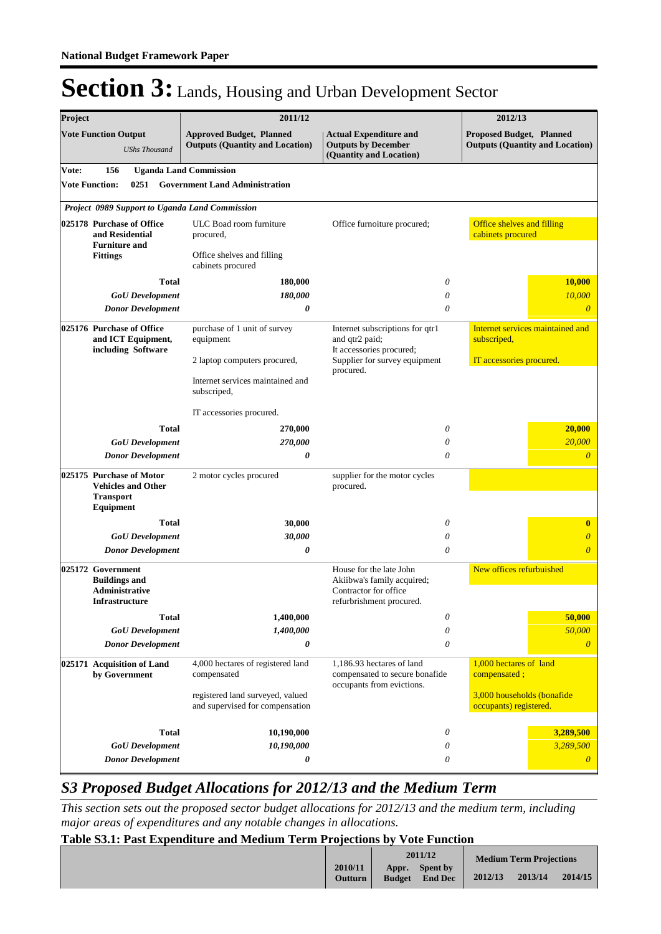| Project |                                                                                               | 2011/12                                                                   |                                                                                                            | 2012/13                                                            |
|---------|-----------------------------------------------------------------------------------------------|---------------------------------------------------------------------------|------------------------------------------------------------------------------------------------------------|--------------------------------------------------------------------|
|         | <b>Vote Function Output</b><br><b>UShs Thousand</b>                                           | <b>Approved Budget, Planned</b><br><b>Outputs (Quantity and Location)</b> | <b>Actual Expenditure and</b><br><b>Outputs by December</b><br>(Quantity and Location)                     | Proposed Budget, Planned<br><b>Outputs (Quantity and Location)</b> |
| Vote:   | 156                                                                                           | <b>Uganda Land Commission</b>                                             |                                                                                                            |                                                                    |
|         | <b>Vote Function:</b><br>0251                                                                 | <b>Government Land Administration</b>                                     |                                                                                                            |                                                                    |
|         | Project 0989 Support to Uganda Land Commission                                                |                                                                           |                                                                                                            |                                                                    |
|         | 025178 Purchase of Office<br>and Residential<br><b>Furniture and</b>                          | ULC Boad room furniture<br>procured,                                      | Office furnoiture procured;                                                                                | Office shelves and filling<br>cabinets procured                    |
|         | <b>Fittings</b>                                                                               | Office shelves and filling<br>cabinets procured                           |                                                                                                            |                                                                    |
|         | <b>Total</b>                                                                                  | 180,000                                                                   | 0                                                                                                          | <b>10,000</b>                                                      |
|         | <b>GoU</b> Development                                                                        | 180,000                                                                   | 0                                                                                                          | 10,000                                                             |
|         | <b>Donor Development</b>                                                                      | 0                                                                         | $\theta$                                                                                                   | $\overline{0}$                                                     |
|         | 025176 Purchase of Office<br>and ICT Equipment,<br>including Software                         | purchase of 1 unit of survey<br>equipment                                 | Internet subscriptions for qtr1<br>and qtr2 paid;<br>It accessories procured;                              | Internet services maintained and<br>subscriped,                    |
|         |                                                                                               | 2 laptop computers procured,                                              | Supplier for survey equipment<br>procured.                                                                 | IT accessories procured.                                           |
|         |                                                                                               | Internet services maintained and<br>subscriped,                           |                                                                                                            |                                                                    |
|         |                                                                                               | IT accessories procured.                                                  |                                                                                                            |                                                                    |
|         | <b>Total</b>                                                                                  | 270,000                                                                   | 0                                                                                                          | 20,000                                                             |
|         | <b>GoU</b> Development                                                                        | 270,000                                                                   | 0                                                                                                          | 20,000                                                             |
|         | <b>Donor Development</b>                                                                      | 0                                                                         | $\theta$                                                                                                   | $\overline{0}$                                                     |
|         | 025175 Purchase of Motor<br><b>Vehicles and Other</b><br><b>Transport</b><br><b>Equipment</b> | 2 motor cycles procured                                                   | supplier for the motor cycles<br>procured.                                                                 |                                                                    |
|         | <b>Total</b>                                                                                  | 30,000                                                                    | 0                                                                                                          | $\bf{0}$                                                           |
|         | <b>GoU</b> Development                                                                        | 30,000                                                                    | 0                                                                                                          | $\overline{0}$                                                     |
|         | <b>Donor Development</b>                                                                      | 0                                                                         | 0                                                                                                          | $\overline{0}$                                                     |
|         | 025172 Government<br><b>Buildings and</b><br>Administrative<br><b>Infrastructure</b>          |                                                                           | House for the late John<br>Akiibwa's family acquired;<br>Contractor for office<br>refurbrishment procured. | New offices refurbuished                                           |
|         | <b>Total</b>                                                                                  | 1,400,000                                                                 | 0                                                                                                          | 50,000                                                             |
|         | <b>GoU</b> Development                                                                        | 1,400,000                                                                 | 0                                                                                                          | 50,000                                                             |
|         | <b>Donor Development</b>                                                                      | 0                                                                         | 0                                                                                                          | $\theta$                                                           |
|         | 025171 Acquisition of Land<br>by Government                                                   | 4,000 hectares of registered land<br>compensated                          | 1.186.93 hectares of land<br>compensated to secure bonafide<br>occupants from evictions.                   | 1,000 hectares of land<br>compensated;                             |
|         |                                                                                               | registered land surveyed, valued<br>and supervised for compensation       |                                                                                                            | 3,000 households (bonafide<br>occupants) registered.               |
|         | Total                                                                                         | 10,190,000                                                                | 0                                                                                                          | 3,289,500                                                          |
|         | <b>GoU</b> Development                                                                        | 10,190,000                                                                | 0                                                                                                          | 3,289,500                                                          |
|         | <b>Donor Development</b>                                                                      | 0                                                                         | 0                                                                                                          | $\boldsymbol{\theta}$                                              |

### *S3 Proposed Budget Allocations for 2012/13 and the Medium Term*

*This section sets out the proposed sector budget allocations for 2012/13 and the medium term, including major areas of expenditures and any notable changes in allocations.* 

### **Table S3.1: Past Expenditure and Medium Term Projections by Vote Function**

|                           | 2011/12                |                            |         | <b>Medium Term Projections</b> |         |
|---------------------------|------------------------|----------------------------|---------|--------------------------------|---------|
| 2010/11<br><b>Outturn</b> | Appr.<br><b>Budget</b> | Spent by<br><b>End Dec</b> | 2012/13 | 2013/14                        | 2014/15 |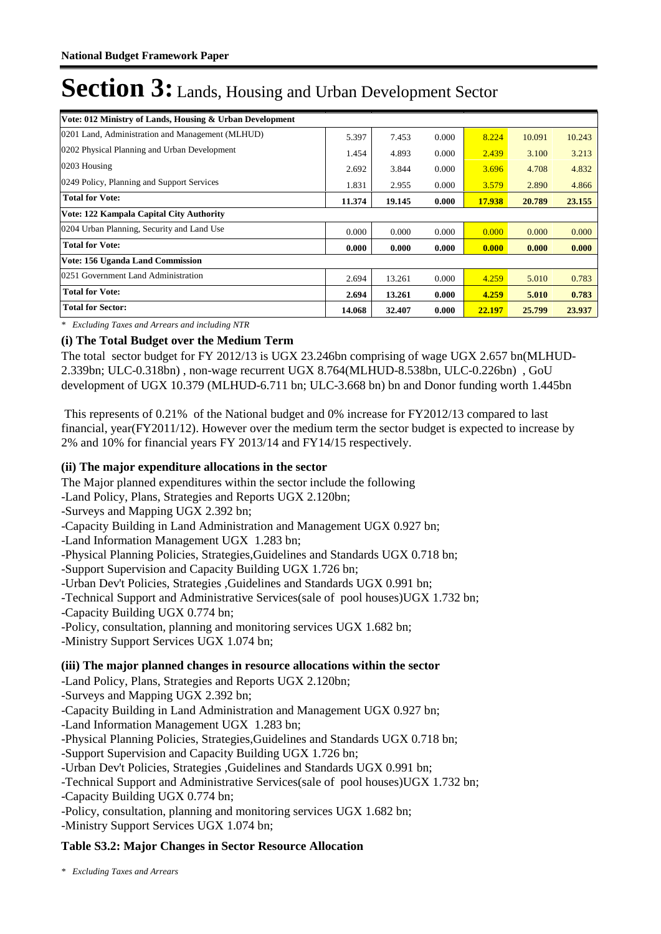| Vote: 012 Ministry of Lands, Housing & Urban Development |        |        |       |        |        |        |
|----------------------------------------------------------|--------|--------|-------|--------|--------|--------|
| 0201 Land, Administration and Management (MLHUD)         | 5.397  | 7.453  | 0.000 | 8.224  | 10.091 | 10.243 |
| 0202 Physical Planning and Urban Development             | 1.454  | 4.893  | 0.000 | 2.439  | 3.100  | 3.213  |
| 0203 Housing                                             | 2.692  | 3.844  | 0.000 | 3.696  | 4.708  | 4.832  |
| 0249 Policy, Planning and Support Services               | 1.831  | 2.955  | 0.000 | 3.579  | 2.890  | 4.866  |
| <b>Total for Vote:</b>                                   | 11.374 | 19.145 | 0.000 | 17.938 | 20.789 | 23.155 |
| Vote: 122 Kampala Capital City Authority                 |        |        |       |        |        |        |
| 0204 Urban Planning, Security and Land Use               | 0.000  | 0.000  | 0.000 | 0.000  | 0.000  | 0.000  |
| <b>Total for Vote:</b>                                   | 0.000  | 0.000  | 0.000 | 0.000  | 0.000  | 0.000  |
| Vote: 156 Uganda Land Commission                         |        |        |       |        |        |        |
| 0251 Government Land Administration                      | 2.694  | 13.261 | 0.000 | 4.259  | 5.010  | 0.783  |
| <b>Total for Vote:</b>                                   | 2.694  | 13.261 | 0.000 | 4.259  | 5.010  | 0.783  |
| <b>Total for Sector:</b>                                 | 14.068 | 32.407 | 0.000 | 22.197 | 25,799 | 23.937 |

*\* Excluding Taxes and Arrears and including NTR*

### **(i) The Total Budget over the Medium Term**

The total sector budget for FY 2012/13 is UGX 23.246bn comprising of wage UGX 2.657 bn(MLHUD-2.339bn; ULC-0.318bn) , non-wage recurrent UGX 8.764(MLHUD-8.538bn, ULC-0.226bn) , GoU development of UGX 10.379 (MLHUD-6.711 bn; ULC-3.668 bn) bn and Donor funding worth 1.445bn

 This represents of 0.21% of the National budget and 0% increase for FY2012/13 compared to last financial, year(FY2011/12). However over the medium term the sector budget is expected to increase by 2% and 10% for financial years FY 2013/14 and FY14/15 respectively.

#### **(ii) The major expenditure allocations in the sector**

The Major planned expenditures within the sector include the following

-Land Policy, Plans, Strategies and Reports UGX 2.120bn;

-Surveys and Mapping UGX 2.392 bn;

-Capacity Building in Land Administration and Management UGX 0.927 bn;

-Land Information Management UGX 1.283 bn;

-Physical Planning Policies, Strategies,Guidelines and Standards UGX 0.718 bn;

-Support Supervision and Capacity Building UGX 1.726 bn;

-Urban Dev't Policies, Strategies ,Guidelines and Standards UGX 0.991 bn;

-Technical Support and Administrative Services(sale of pool houses)UGX 1.732 bn;

-Capacity Building UGX 0.774 bn;

-Policy, consultation, planning and monitoring services UGX 1.682 bn;

-Ministry Support Services UGX 1.074 bn;

### **(iii) The major planned changes in resource allocations within the sector**

-Land Policy, Plans, Strategies and Reports UGX 2.120bn;

-Surveys and Mapping UGX 2.392 bn;

-Capacity Building in Land Administration and Management UGX 0.927 bn;

-Land Information Management UGX 1.283 bn;

-Physical Planning Policies, Strategies,Guidelines and Standards UGX 0.718 bn;

-Support Supervision and Capacity Building UGX 1.726 bn;

-Urban Dev't Policies, Strategies ,Guidelines and Standards UGX 0.991 bn;

-Technical Support and Administrative Services(sale of pool houses)UGX 1.732 bn;

-Capacity Building UGX 0.774 bn;

-Policy, consultation, planning and monitoring services UGX 1.682 bn;

-Ministry Support Services UGX 1.074 bn;

### **Table S3.2: Major Changes in Sector Resource Allocation**